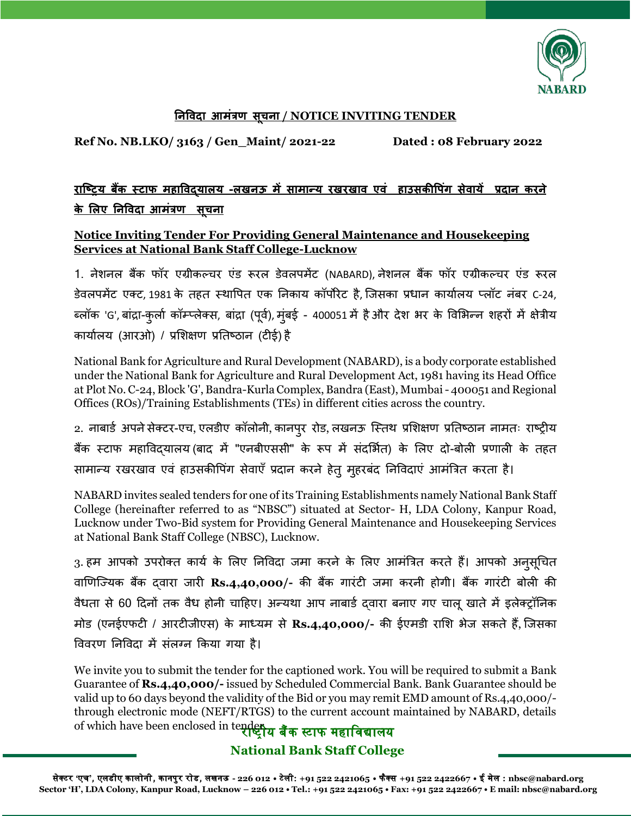

## **निववद आमत्रं ण सचू ि / NOTICE INVITING TENDER**

**Ref No. NB.LKO/ 3163 / Gen\_Maint/ 2021-22 Dated : 08 February 2022**

## <u>राष्टिय बैंक स्टाफ महाविदयालय -लखनऊ में सामान्य रखरखाव एवं हाउसकीपिंग सेवायें प्रदान करने</u> <u>के लिए निविदा आमंत्रण सचना</u>

## **Notice Inviting Tender For Providing General Maintenance and Housekeeping Services at National Bank Staff College-Lucknow**

1. नेशनल बैंक फॉर एग्रीकल्चर एंड रूरल डेवलपमेंट (NABARD), नेशनल बैंक फॉर एग्रीकल्चर एंड रूरल डेवलपमेंट एक्ट, 1981 के तहत स्थापपत एक ननकाय कॉपोरेट है, जिसका प्रधान कायाालय प्लॉट नंबर C-24, ब्लॉक 'G', बांद्रा-कुर्ला कॉम्प्लेक्स, बांद्रा (पूर्व), मुंबई - 400051 में है और देश भर के विभिन्न शहरों में क्षेत्रीय कायाालय (आरओ) / प्रभशक्षण प्रनतष्ठान (टीई) है

National Bank for Agriculture and Rural Development (NABARD), is a body corporate established under the National Bank for Agriculture and Rural Development Act, 1981 having its Head Office at Plot No. C-24, Block 'G', Bandra-Kurla Complex, Bandra (East), Mumbai - 400051 and Regional Offices (ROs)/Training Establishments (TEs) in different cities across the country.

2. नाबार्ड अपने सेक्टर-एच, एलडीए कॉलोनी, कानपुर रोड, लखनऊ स्तिथ प्रशिक्षण प्रतिष्ठान नामतः राष्ट्रीय बैंक स्टाफ महाविद्यालय (बाद में "एनबीएससी" के रूप में संदर्भित) के लिए दो-बोली प्रणाली के तहत सामान्य रखरखाव एवं हाउसकीपिंग सेवाएँ प्रदान करने हेतु मुहरबंद निविदाएं आमंत्रित करता है।

NABARD invites sealed tenders for one of its Training Establishments namely National Bank Staff College (hereinafter referred to as "NBSC") situated at Sector- H, LDA Colony, Kanpur Road, Lucknow under Two-Bid system for Providing General Maintenance and Housekeeping Services at National Bank Staff College (NBSC), Lucknow.

3. हम आपको उपरोक्त कार्य के लिए निविदा जमा करने के लिए आमंत्रित करते हैं। आपको अनुसूचित वाणणजययक बैंक द्वारा िारी **Rs.4,40,000/-** की बैंक गारंटी िमा करनी होगी। बैंक गारंटी बोली की वैधता से 60 दिनों तक वैध होनी चाहिए। अन्यथा आप नाबार्ड दवारा बनाए गए चालू खाते में इलेक्ट्रॉनिक मोड (एनईएफटी / आरटीिीएस) के माध्यम से **Rs.4,40,000/-** की ईएमडी राभश भेि सकते हैं, जिसका पववरण ननपवदा में संलग्न ककया गया है।

of which have been enclosed in te<del>nden</del>य बैंक स्टाफ महाविद्यालय We invite you to submit the tender for the captioned work. You will be required to submit a Bank Guarantee of **Rs.4,40,000/-** issued by Scheduled Commercial Bank. Bank Guarantee should be valid up to 60 days beyond the validity of the Bid or you may remit EMD amount of Rs.4,40,000/ through electronic mode (NEFT/RTGS) to the current account maintained by NABARD, details

**National Bank Staff College**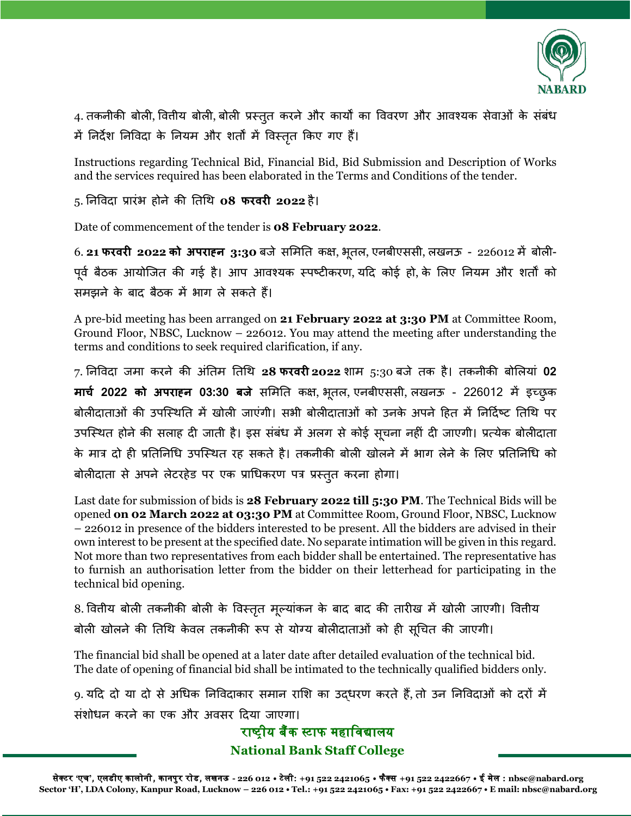

4. तकनीकी बोली, वित्तीय बोली, बोली प्रस्तुत करने और कार्यों का विवरण और आवश्यक सेवाओं के संबंध में ननदेश ननपवदा के ननयम और शतों में पवस्ततृ ककए गए हैं।

Instructions regarding Technical Bid, Financial Bid, Bid Submission and Description of Works and the services required has been elaborated in the Terms and Conditions of the tender.

## 5. ननपवदा प्रारंभ होने की नतचथ **08 फरवरी 2022** है।

Date of commencement of the tender is **08 February 2022**.

6. 21 फरवरी 2022 को अपराहन 3:30 बजे समिति कक्ष, भूतल, एनबीएससी, लखनऊ - 226012 में बोली-पूर्व बैठक आयोजित की गई है। आप आवश्यक स्पष्टीकरण, यदि कोई हो, के लिए नियम और शर्तों को समझने के बाद बैठक में भाग ले सकते हैं।

A pre-bid meeting has been arranged on **21 February 2022 at 3:30 PM** at Committee Room, Ground Floor, NBSC, Lucknow – 226012. You may attend the meeting after understanding the terms and conditions to seek required clarification, if any.

7. ननपवदा िमा करने की अंनतम नतचथ **28 फरवरी 2022** शाम 5:30 बिे तक है। तकनीकी बोभलयां **02 म चच 2022 को अ र ह्ि 03:30 बजे** सभमनत कक्ष, भतू ल, एनबीएससी, लखनऊ - 226012 में इच्छुक बोलीदाताओं की उपस्थिति में खोली जाएंगी। सभी बोलीदाताओं को उनके अपने हित में निर्दिष्ट तिथि पर उपस्थित होने की सलाह दी जाती है। इस संबंध में अलग से कोई सूचना नहीं दी जाएगी। प्रत्येक बोलीदाता के मात्र दो ही प्रतिनिधि उपस्थित रह सकते है। तकनीकी बोली खोलने में भाग लेने के लिए प्रतिनिधि को बोलीदाता से अपने लेटरहेड पर एक प्राचधकरण पत्र प्रस्ततु करना होगा।

Last date for submission of bids is **28 February 2022 till 5:30 PM**. The Technical Bids will be opened **on 02 March 2022 at 03:30 PM** at Committee Room, Ground Floor, NBSC, Lucknow – 226012 in presence of the bidders interested to be present. All the bidders are advised in their own interest to be present at the specified date. No separate intimation will be given in this regard. Not more than two representatives from each bidder shall be entertained. The representative has to furnish an authorisation letter from the bidder on their letterhead for participating in the technical bid opening.

8. वितीय बोली तकनीकी बोली के विस्तृत मूल्यांकन के बाद बाद की तारीख में खोली जाएगी। वितीय बोली खोलने की तिथि केवल तकनीकी रूप से योग्य बोलीदाताओं को ही सूचित की जाएगी।

The financial bid shall be opened at a later date after detailed evaluation of the technical bid. The date of opening of financial bid shall be intimated to the technically qualified bidders only.

9. यदि दो या दो से अधिक निविदाकार समान राशि का उद्धरण करते हैं, तो उन निविदाओं को दरों में संशोधन करने का एक और अवसर दिया जाएगा।

> **National Bank Staff College** राष्टीय बैंक स्टाफ महाविद्यालय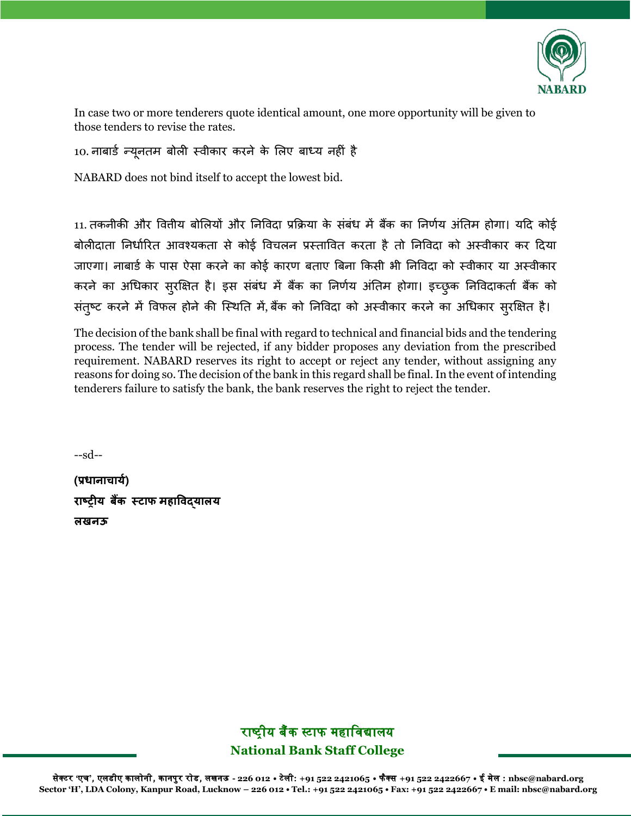

In case two or more tenderers quote identical amount, one more opportunity will be given to those tenders to revise the rates.

```
10. नाबार्ड न्यूनतम बोली स्वीकार करने के लिए बाध्य नहीं है
```
NABARD does not bind itself to accept the lowest bid.

11. तकनीकी और पवत्तीय बोभलयों और ननपवदा प्रकिया के संबंध में बैंक का ननणाय अंनतम होगा। यदद कोई बोलीदाता ननधााररत आवश्यकता से कोई पवचलन प्रस्तापवत करता है तो ननपवदा को अस्वीकार कर ददया जाएगा। नाबार्ड के पास ऐसा करने का कोई कारण बताए बिना किसी भी निविदा को स्वीकार या अस्वीकार करने का अधिकार सुरक्षित है। इस संबंध में बैंक का निर्णय अंतिम होगा। इच्छुक निविदाकर्ता बैंक को संतुष्ट करने में विफल होने की स्थिति में, बैंक को निविदा को अस्वीकार करने का अधिकार सुरक्षित है।

The decision of the bank shall be final with regard to technical and financial bids and the tendering process. The tender will be rejected, if any bidder proposes any deviation from the prescribed requirement. NABARD reserves its right to accept or reject any tender, without assigning any reasons for doing so. The decision of the bank in this regard shall be final. In the event of intending tenderers failure to satisfy the bank, the bank reserves the right to reject the tender.

--sd--

(प्रधानाचार्य) **र रिीय बैंक स्ट फ मह ववद्य लय लखिऊ**

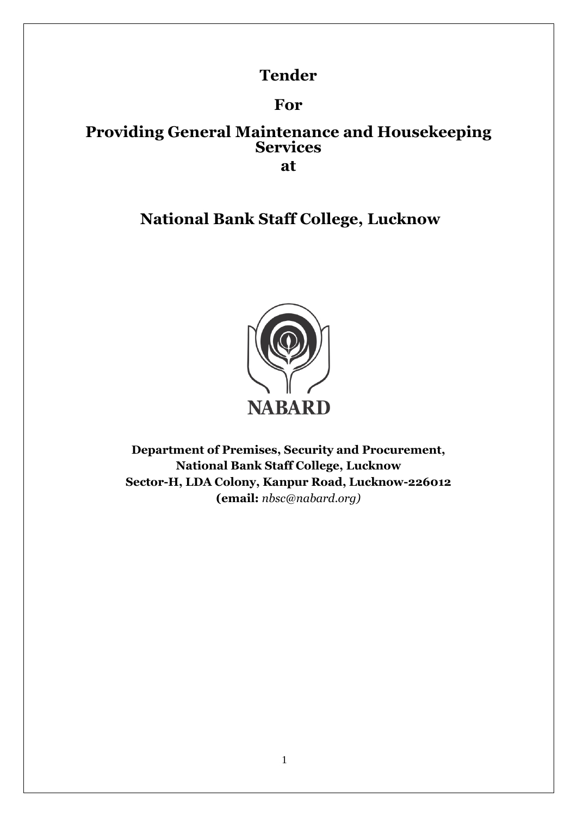# **Tender**

# **For**

## **Providing General Maintenance and Housekeeping Services at**

# **National Bank Staff College, Lucknow**



**Department of Premises, Security and Procurement, National Bank Staff College, Lucknow Sector-H, LDA Colony, Kanpur Road, Lucknow-226012 (email:** *nbsc@nabard.org)*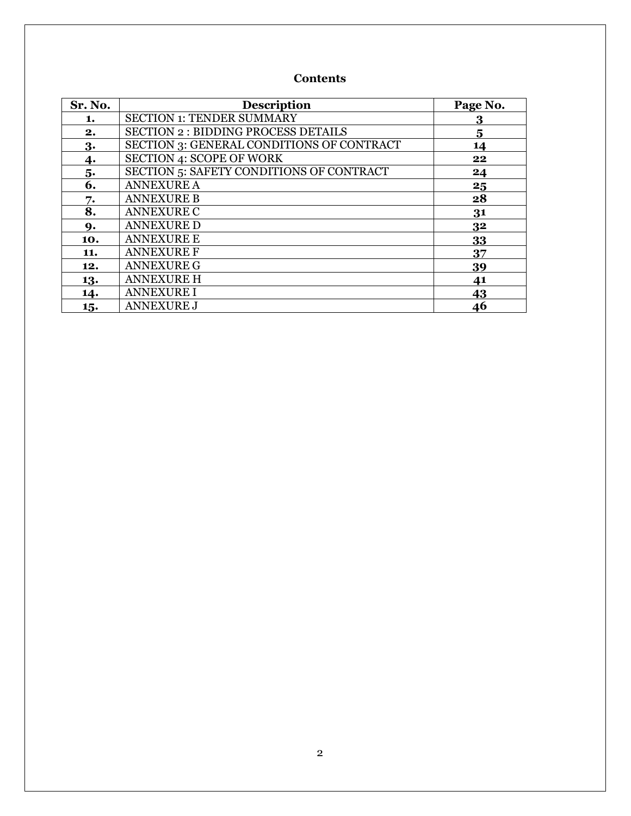## **Contents**

| Sr. No. | <b>Description</b>                              | Page No. |
|---------|-------------------------------------------------|----------|
| 1.      | <b>SECTION 1: TENDER SUMMARY</b>                | 3        |
| 2.      | <b>SECTION 2: BIDDING PROCESS DETAILS</b>       | 5        |
| 3.      | SECTION 3: GENERAL CONDITIONS OF CONTRACT       | 14       |
| 4.      | <b>SECTION 4: SCOPE OF WORK</b>                 | 22       |
| 5.      | <b>SECTION 5: SAFETY CONDITIONS OF CONTRACT</b> | 24       |
| 6.      | <b>ANNEXURE A</b>                               | 25       |
| 7.      | <b>ANNEXURE B</b>                               | 28       |
| 8.      | <b>ANNEXURE C</b>                               | 31       |
| 9.      | <b>ANNEXURE D</b>                               | 32       |
| 10.     | <b>ANNEXURE E</b>                               | 33       |
| 11.     | <b>ANNEXURE F</b>                               | 37       |
| 12.     | <b>ANNEXURE G</b>                               | 39       |
| 13.     | <b>ANNEXURE H</b>                               | 41       |
| 14.     | <b>ANNEXURE I</b>                               | 43       |
| 15.     | <b>ANNEXURE J</b>                               | 46       |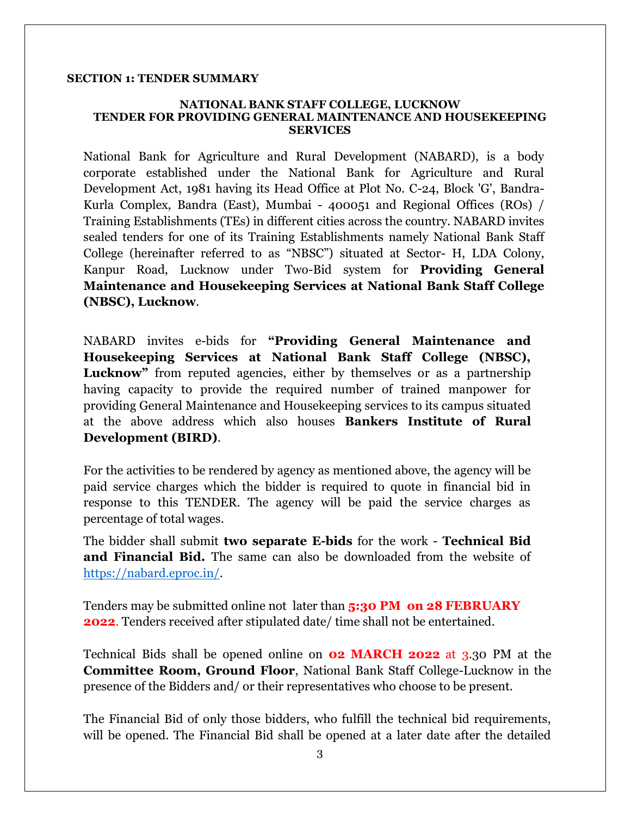#### **SECTION 1: TENDER SUMMARY**

#### **NATIONAL BANK STAFF COLLEGE, LUCKNOW TENDER FOR PROVIDING GENERAL MAINTENANCE AND HOUSEKEEPING SERVICES**

National Bank for Agriculture and Rural Development (NABARD), is a body corporate established under the National Bank for Agriculture and Rural Development Act, 1981 having its Head Office at Plot No. C-24, Block 'G', Bandra-Kurla Complex, Bandra (East), Mumbai - 400051 and Regional Offices (ROs) / Training Establishments (TEs) in different cities across the country. NABARD invites sealed tenders for one of its Training Establishments namely National Bank Staff College (hereinafter referred to as "NBSC") situated at Sector- H, LDA Colony, Kanpur Road, Lucknow under Two-Bid system for **Providing General Maintenance and Housekeeping Services at National Bank Staff College (NBSC), Lucknow**.

NABARD invites e-bids for **"Providing General Maintenance and Housekeeping Services at National Bank Staff College (NBSC),**  Lucknow" from reputed agencies, either by themselves or as a partnership having capacity to provide the required number of trained manpower for providing General Maintenance and Housekeeping services to its campus situated at the above address which also houses **Bankers Institute of Rural Development (BIRD)**.

For the activities to be rendered by agency as mentioned above, the agency will be paid service charges which the bidder is required to quote in financial bid in response to this TENDER. The agency will be paid the service charges as percentage of total wages.

The bidder shall submit **two separate E-bids** for the work - **Technical Bid and Financial Bid.** The same can also be downloaded from the website of https://nabard.eproc.in/.

Tenders may be submitted online not later than **5:30 PM on 28 FEBRUARY 2022**. Tenders received after stipulated date/ time shall not be entertained.

Technical Bids shall be opened online on **02 MARCH 2022** at 3.30 PM at the **Committee Room, Ground Floor**, National Bank Staff College-Lucknow in the presence of the Bidders and/ or their representatives who choose to be present.

The Financial Bid of only those bidders, who fulfill the technical bid requirements, will be opened. The Financial Bid shall be opened at a later date after the detailed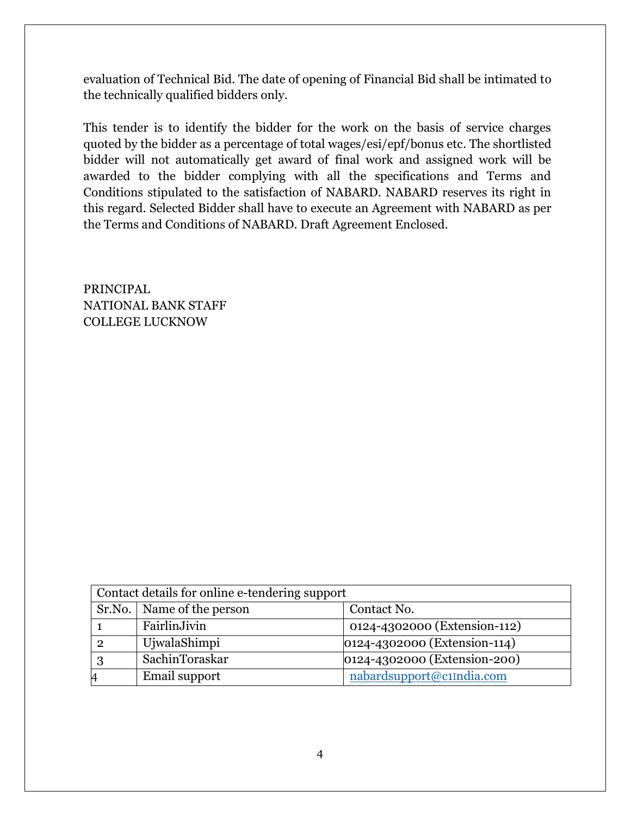evaluation of Technical Bid. The date of opening of Financial Bid shall be intimated to the technically qualified bidders only.

This tender is to identify the bidder for the work on the basis of service charges quoted by the bidder as a percentage of total wages/esi/epf/bonus etc. The shortlisted bidder will not automatically get award of final work and assigned work will be awarded to the bidder complying with all the specifications and Terms and Conditions stipulated to the satisfaction of NABARD. NABARD reserves its right in this regard. Selected Bidder shall have to execute an Agreement with NABARD as per the Terms and Conditions of NABARD. Draft Agreement Enclosed.

PRINCIPAL NATIONAL BANK STAFF COLLEGE LUCKNOW

| Contact details for online e-tendering support |                             |                              |
|------------------------------------------------|-----------------------------|------------------------------|
|                                                | Sr.No.   Name of the person | Contact No.                  |
|                                                | FairlinJivin                | 0124-4302000 (Extension-112) |
|                                                | UjwalaShimpi                | 0124-4302000 (Extension-114) |
|                                                | SachinToraskar              | 0124-4302000 (Extension-200) |
| $\overline{4}$                                 | Email support               | nabardsupport@c1India.com    |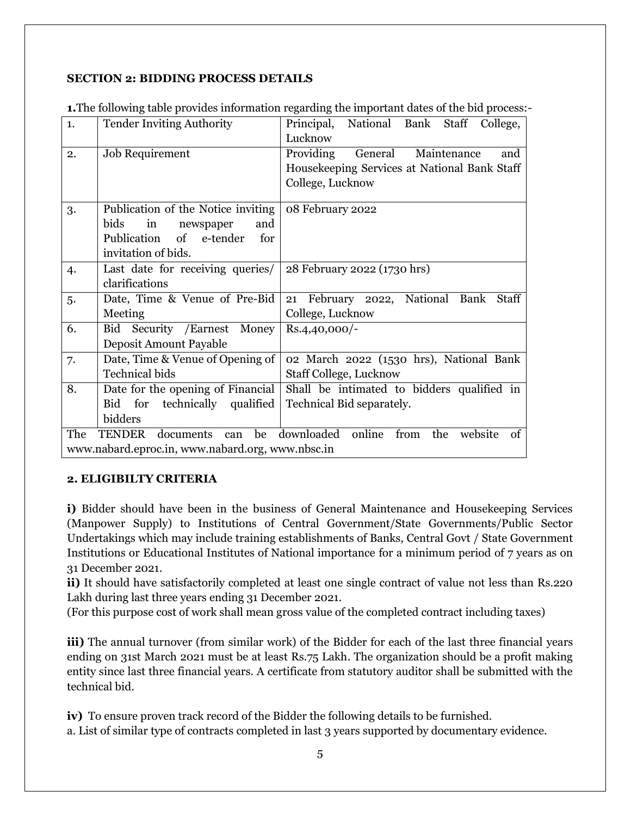## **SECTION 2: BIDDING PROCESS DETAILS**

| 1.  | <b>Tender Inviting Authority</b>                 | Principal, National Bank Staff College,              |
|-----|--------------------------------------------------|------------------------------------------------------|
|     |                                                  | Lucknow                                              |
| 2.  | Job Requirement                                  | Providing<br>General<br>Maintenance<br>and           |
|     |                                                  | Housekeeping Services at National Bank Staff         |
|     |                                                  | College, Lucknow                                     |
| 3.  | Publication of the Notice inviting               | 08 February 2022                                     |
|     | bids<br>newspaper<br>and<br>in                   |                                                      |
|     | Publication<br>of e-tender<br>for                |                                                      |
|     | invitation of bids.                              |                                                      |
| 4.  | Last date for receiving queries/                 | 28 February 2022 (1730 hrs)                          |
|     | clarifications                                   |                                                      |
| 5.  | Date, Time & Venue of Pre-Bid                    | 21 February 2022, National Bank Staff                |
|     | Meeting                                          | College, Lucknow                                     |
| 6.  | Bid Security / Earnest Money                     | $Rs.4,40,000/-$                                      |
|     | Deposit Amount Payable                           |                                                      |
| 7.  | Date, Time & Venue of Opening of                 | 02 March 2022 (1530 hrs), National Bank              |
|     | <b>Technical bids</b>                            | <b>Staff College, Lucknow</b>                        |
| 8.  | Date for the opening of Financial                | Shall be intimated to bidders qualified in           |
|     | Bid for technically qualified                    | Technical Bid separately.                            |
|     | bidders                                          |                                                      |
| The | <b>TENDER</b><br>documents<br>be<br>can          | downloaded<br>online<br>from<br>the<br>of<br>website |
|     | www.nabard.eproc.in, www.nabard.org, www.nbsc.in |                                                      |

**1.**The following table provides information regarding the important dates of the bid process:-

## **2. ELIGIBILTY CRITERIA**

**i)** Bidder should have been in the business of General Maintenance and Housekeeping Services (Manpower Supply) to Institutions of Central Government/State Governments/Public Sector Undertakings which may include training establishments of Banks, Central Govt / State Government Institutions or Educational Institutes of National importance for a minimum period of 7 years as on 31 December 2021.

**ii)** It should have satisfactorily completed at least one single contract of value not less than Rs.220 Lakh during last three years ending 31 December 2021.

(For this purpose cost of work shall mean gross value of the completed contract including taxes)

**iii)** The annual turnover (from similar work) of the Bidder for each of the last three financial years ending on 31st March 2021 must be at least Rs.75 Lakh. The organization should be a profit making entity since last three financial years. A certificate from statutory auditor shall be submitted with the technical bid.

**iv)** To ensure proven track record of the Bidder the following details to be furnished. a. List of similar type of contracts completed in last 3 years supported by documentary evidence.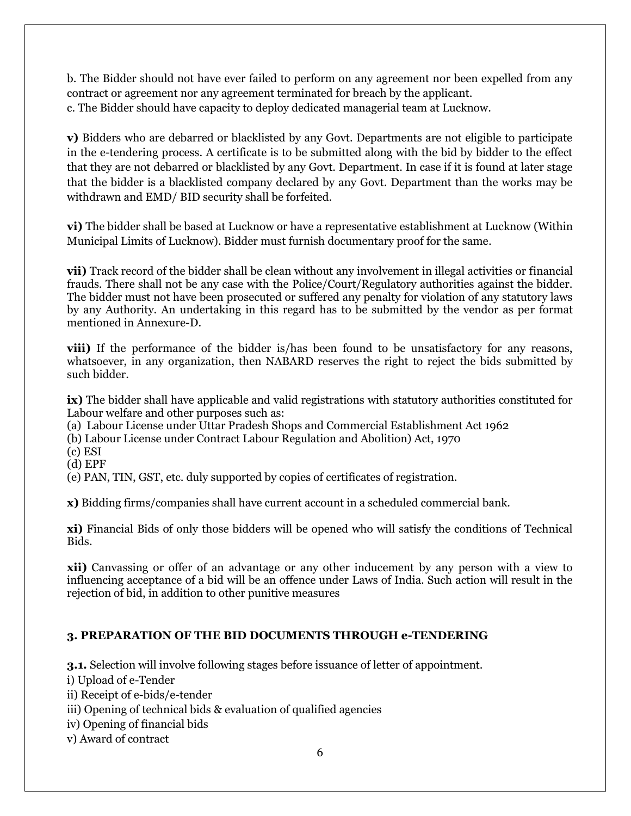b. The Bidder should not have ever failed to perform on any agreement nor been expelled from any contract or agreement nor any agreement terminated for breach by the applicant. c. The Bidder should have capacity to deploy dedicated managerial team at Lucknow.

**v)** Bidders who are debarred or blacklisted by any Govt. Departments are not eligible to participate in the e-tendering process. A certificate is to be submitted along with the bid by bidder to the effect that they are not debarred or blacklisted by any Govt. Department. In case if it is found at later stage that the bidder is a blacklisted company declared by any Govt. Department than the works may be withdrawn and EMD/ BID security shall be forfeited.

**vi)** The bidder shall be based at Lucknow or have a representative establishment at Lucknow (Within Municipal Limits of Lucknow). Bidder must furnish documentary proof for the same.

**vii)** Track record of the bidder shall be clean without any involvement in illegal activities or financial frauds. There shall not be any case with the Police/Court/Regulatory authorities against the bidder. The bidder must not have been prosecuted or suffered any penalty for violation of any statutory laws by any Authority. An undertaking in this regard has to be submitted by the vendor as per format mentioned in Annexure-D.

**viii)** If the performance of the bidder is/has been found to be unsatisfactory for any reasons, whatsoever, in any organization, then NABARD reserves the right to reject the bids submitted by such bidder.

**ix)** The bidder shall have applicable and valid registrations with statutory authorities constituted for Labour welfare and other purposes such as:

(a) Labour License under Uttar Pradesh Shops and Commercial Establishment Act 1962

(b) Labour License under Contract Labour Regulation and Abolition) Act, 1970

(c) ESI

(d) EPF

(e) PAN, TIN, GST, etc. duly supported by copies of certificates of registration.

**x)** Bidding firms/companies shall have current account in a scheduled commercial bank.

**xi)** Financial Bids of only those bidders will be opened who will satisfy the conditions of Technical Bids.

**xii)** Canvassing or offer of an advantage or any other inducement by any person with a view to influencing acceptance of a bid will be an offence under Laws of India. Such action will result in the rejection of bid, in addition to other punitive measures

## **3. PREPARATION OF THE BID DOCUMENTS THROUGH e-TENDERING**

**3.1.** Selection will involve following stages before issuance of letter of appointment.

i) Upload of e-Tender

ii) Receipt of e-bids/e-tender

iii) Opening of technical bids & evaluation of qualified agencies

iv) Opening of financial bids

v) Award of contract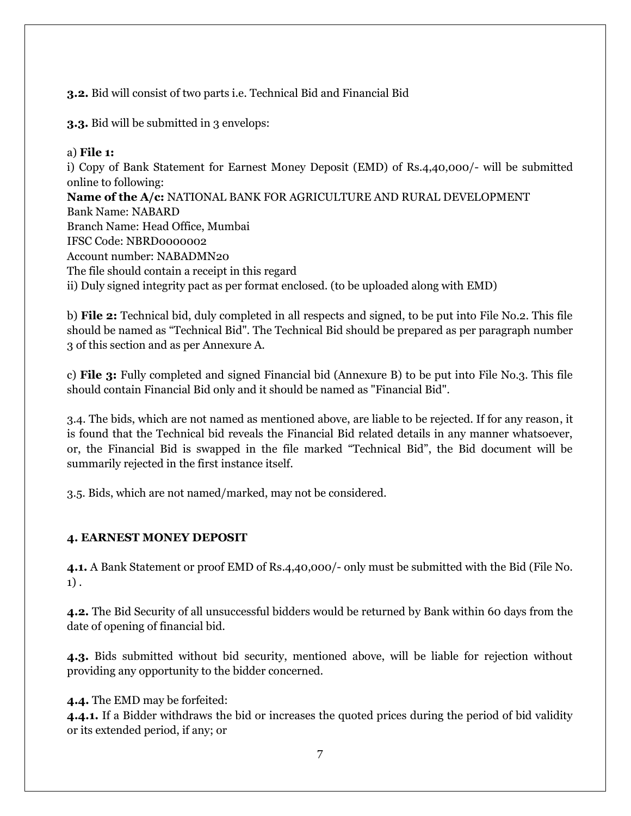## **3.2.** Bid will consist of two parts i.e. Technical Bid and Financial Bid

**3.3.** Bid will be submitted in 3 envelops:

## a) **File 1:**

i) Copy of Bank Statement for Earnest Money Deposit (EMD) of Rs.4,40,000/- will be submitted online to following: **Name of the A/c:** NATIONAL BANK FOR AGRICULTURE AND RURAL DEVELOPMENT Bank Name: NABARD Branch Name: Head Office, Mumbai IFSC Code: NBRD0000002 Account number: NABADMN20 The file should contain a receipt in this regard ii) Duly signed integrity pact as per format enclosed. (to be uploaded along with EMD)

b) **File 2:** Technical bid, duly completed in all respects and signed, to be put into File No.2. This file should be named as "Technical Bid". The Technical Bid should be prepared as per paragraph number 3 of this section and as per Annexure A.

c) **File 3:** Fully completed and signed Financial bid (Annexure B) to be put into File No.3. This file should contain Financial Bid only and it should be named as "Financial Bid".

3.4. The bids, which are not named as mentioned above, are liable to be rejected. If for any reason, it is found that the Technical bid reveals the Financial Bid related details in any manner whatsoever, or, the Financial Bid is swapped in the file marked "Technical Bid", the Bid document will be summarily rejected in the first instance itself.

3.5. Bids, which are not named/marked, may not be considered.

## **4. EARNEST MONEY DEPOSIT**

**4.1.** A Bank Statement or proof EMD of Rs.4,40,000/- only must be submitted with the Bid (File No. 1) .

**4.2.** The Bid Security of all unsuccessful bidders would be returned by Bank within 60 days from the date of opening of financial bid.

**4.3.** Bids submitted without bid security, mentioned above, will be liable for rejection without providing any opportunity to the bidder concerned.

**4.4.** The EMD may be forfeited:

**4.4.1.** If a Bidder withdraws the bid or increases the quoted prices during the period of bid validity or its extended period, if any; or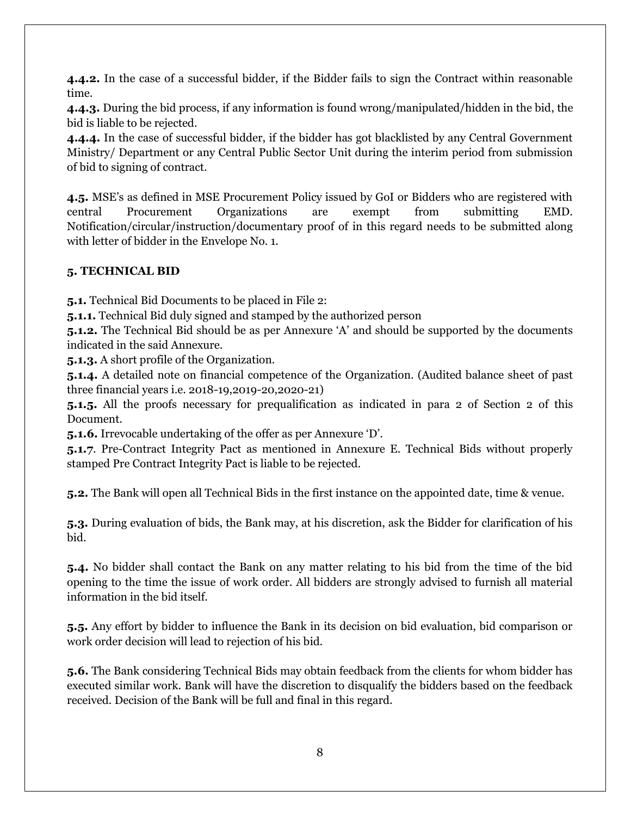**4.4.2.** In the case of a successful bidder, if the Bidder fails to sign the Contract within reasonable time.

**4.4.3.** During the bid process, if any information is found wrong/manipulated/hidden in the bid, the bid is liable to be rejected.

**4.4.4.** In the case of successful bidder, if the bidder has got blacklisted by any Central Government Ministry/ Department or any Central Public Sector Unit during the interim period from submission of bid to signing of contract.

**4.5.** MSE's as defined in MSE Procurement Policy issued by GoI or Bidders who are registered with central Procurement Organizations are exempt from submitting EMD. Notification/circular/instruction/documentary proof of in this regard needs to be submitted along with letter of bidder in the Envelope No. 1.

## **5. TECHNICAL BID**

**5.1.** Technical Bid Documents to be placed in File 2:

**5.1.1.** Technical Bid duly signed and stamped by the authorized person

**5.1.2.** The Technical Bid should be as per Annexure 'A' and should be supported by the documents indicated in the said Annexure.

**5.1.3.** A short profile of the Organization.

**5.1.4.** A detailed note on financial competence of the Organization. (Audited balance sheet of past three financial years i.e. 2018-19,2019-20,2020-21)

**5.1.5.** All the proofs necessary for prequalification as indicated in para 2 of Section 2 of this Document.

**5.1.6.** Irrevocable undertaking of the offer as per Annexure 'D'.

**5.1.7**. Pre-Contract Integrity Pact as mentioned in Annexure E. Technical Bids without properly stamped Pre Contract Integrity Pact is liable to be rejected.

**5.2.** The Bank will open all Technical Bids in the first instance on the appointed date, time & venue.

**5.3.** During evaluation of bids, the Bank may, at his discretion, ask the Bidder for clarification of his bid.

**5.4.** No bidder shall contact the Bank on any matter relating to his bid from the time of the bid opening to the time the issue of work order. All bidders are strongly advised to furnish all material information in the bid itself.

**5.5.** Any effort by bidder to influence the Bank in its decision on bid evaluation, bid comparison or work order decision will lead to rejection of his bid.

**5.6.** The Bank considering Technical Bids may obtain feedback from the clients for whom bidder has executed similar work. Bank will have the discretion to disqualify the bidders based on the feedback received. Decision of the Bank will be full and final in this regard.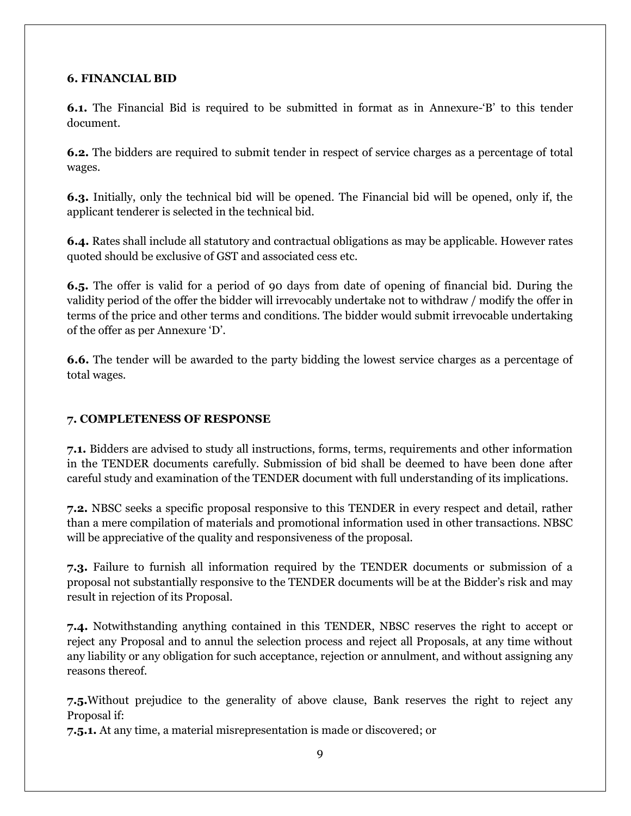## **6. FINANCIAL BID**

**6.1.** The Financial Bid is required to be submitted in format as in Annexure-'B' to this tender document.

**6.2.** The bidders are required to submit tender in respect of service charges as a percentage of total wages.

**6.3.** Initially, only the technical bid will be opened. The Financial bid will be opened, only if, the applicant tenderer is selected in the technical bid.

**6.4.** Rates shall include all statutory and contractual obligations as may be applicable. However rates quoted should be exclusive of GST and associated cess etc.

**6.5.** The offer is valid for a period of 90 days from date of opening of financial bid. During the validity period of the offer the bidder will irrevocably undertake not to withdraw / modify the offer in terms of the price and other terms and conditions. The bidder would submit irrevocable undertaking of the offer as per Annexure 'D'.

**6.6.** The tender will be awarded to the party bidding the lowest service charges as a percentage of total wages.

## **7. COMPLETENESS OF RESPONSE**

**7.1.** Bidders are advised to study all instructions, forms, terms, requirements and other information in the TENDER documents carefully. Submission of bid shall be deemed to have been done after careful study and examination of the TENDER document with full understanding of its implications.

**7.2.** NBSC seeks a specific proposal responsive to this TENDER in every respect and detail, rather than a mere compilation of materials and promotional information used in other transactions. NBSC will be appreciative of the quality and responsiveness of the proposal.

**7.3.** Failure to furnish all information required by the TENDER documents or submission of a proposal not substantially responsive to the TENDER documents will be at the Bidder's risk and may result in rejection of its Proposal.

**7.4.** Notwithstanding anything contained in this TENDER, NBSC reserves the right to accept or reject any Proposal and to annul the selection process and reject all Proposals, at any time without any liability or any obligation for such acceptance, rejection or annulment, and without assigning any reasons thereof.

**7.5.**Without prejudice to the generality of above clause, Bank reserves the right to reject any Proposal if:

**7.5.1.** At any time, a material misrepresentation is made or discovered; or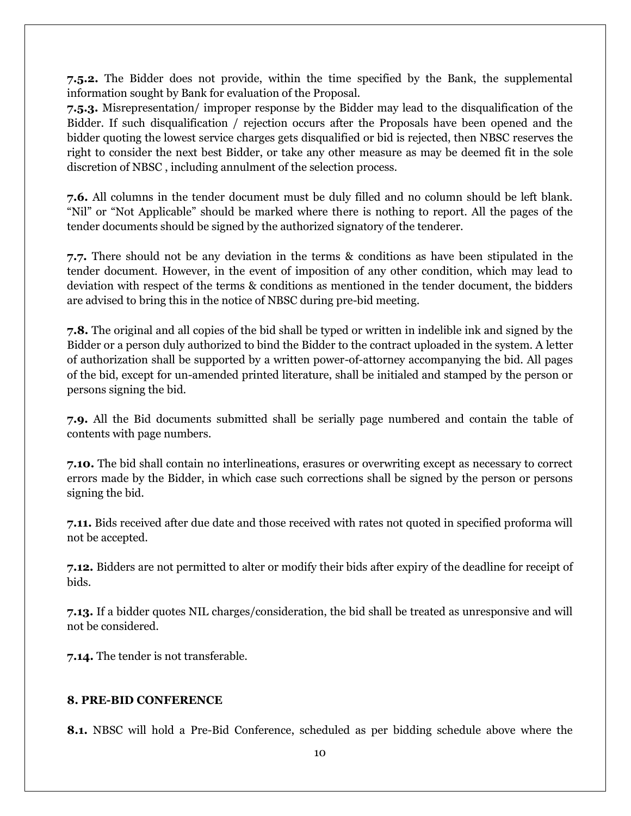**7.5.2.** The Bidder does not provide, within the time specified by the Bank, the supplemental information sought by Bank for evaluation of the Proposal.

**7.5.3.** Misrepresentation/ improper response by the Bidder may lead to the disqualification of the Bidder. If such disqualification / rejection occurs after the Proposals have been opened and the bidder quoting the lowest service charges gets disqualified or bid is rejected, then NBSC reserves the right to consider the next best Bidder, or take any other measure as may be deemed fit in the sole discretion of NBSC , including annulment of the selection process.

**7.6.** All columns in the tender document must be duly filled and no column should be left blank. "Nil" or "Not Applicable" should be marked where there is nothing to report. All the pages of the tender documents should be signed by the authorized signatory of the tenderer.

**7.7.** There should not be any deviation in the terms & conditions as have been stipulated in the tender document. However, in the event of imposition of any other condition, which may lead to deviation with respect of the terms & conditions as mentioned in the tender document, the bidders are advised to bring this in the notice of NBSC during pre-bid meeting.

**7.8.** The original and all copies of the bid shall be typed or written in indelible ink and signed by the Bidder or a person duly authorized to bind the Bidder to the contract uploaded in the system. A letter of authorization shall be supported by a written power-of-attorney accompanying the bid. All pages of the bid, except for un-amended printed literature, shall be initialed and stamped by the person or persons signing the bid.

**7.9.** All the Bid documents submitted shall be serially page numbered and contain the table of contents with page numbers.

**7.10.** The bid shall contain no interlineations, erasures or overwriting except as necessary to correct errors made by the Bidder, in which case such corrections shall be signed by the person or persons signing the bid.

**7.11.** Bids received after due date and those received with rates not quoted in specified proforma will not be accepted.

**7.12.** Bidders are not permitted to alter or modify their bids after expiry of the deadline for receipt of bids.

**7.13.** If a bidder quotes NIL charges/consideration, the bid shall be treated as unresponsive and will not be considered.

**7.14.** The tender is not transferable.

## **8. PRE-BID CONFERENCE**

**8.1.** NBSC will hold a Pre-Bid Conference, scheduled as per bidding schedule above where the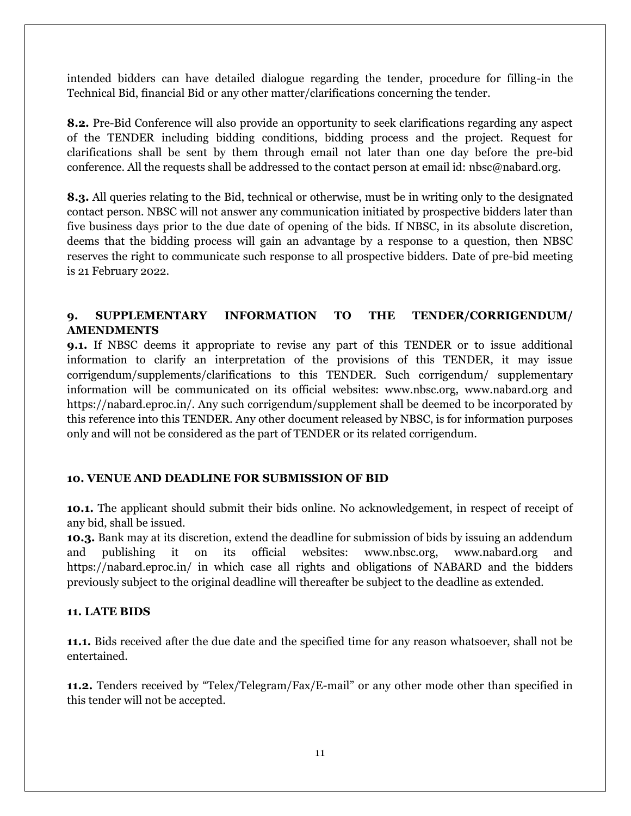intended bidders can have detailed dialogue regarding the tender, procedure for filling-in the Technical Bid, financial Bid or any other matter/clarifications concerning the tender.

**8.2.** Pre-Bid Conference will also provide an opportunity to seek clarifications regarding any aspect of the TENDER including bidding conditions, bidding process and the project. Request for clarifications shall be sent by them through email not later than one day before the pre-bid conference. All the requests shall be addressed to the contact person at email id: nbsc@nabard.org.

**8.3.** All queries relating to the Bid, technical or otherwise, must be in writing only to the designated contact person. NBSC will not answer any communication initiated by prospective bidders later than five business days prior to the due date of opening of the bids. If NBSC, in its absolute discretion, deems that the bidding process will gain an advantage by a response to a question, then NBSC reserves the right to communicate such response to all prospective bidders. Date of pre-bid meeting is 21 February 2022.

## **9. SUPPLEMENTARY INFORMATION TO THE TENDER/CORRIGENDUM/ AMENDMENTS**

**9.1.** If NBSC deems it appropriate to revise any part of this TENDER or to issue additional information to clarify an interpretation of the provisions of this TENDER, it may issue corrigendum/supplements/clarifications to this TENDER. Such corrigendum/ supplementary information will be communicated on its official websites: www.nbsc.org, www.nabard.org and https://nabard.eproc.in/. Any such corrigendum/supplement shall be deemed to be incorporated by this reference into this TENDER. Any other document released by NBSC, is for information purposes only and will not be considered as the part of TENDER or its related corrigendum.

## **10. VENUE AND DEADLINE FOR SUBMISSION OF BID**

**10.1.** The applicant should submit their bids online. No acknowledgement, in respect of receipt of any bid, shall be issued.

**10.3.** Bank may at its discretion, extend the deadline for submission of bids by issuing an addendum and publishing it on its official websites: www.nbsc.org, www.nabard.org and https://nabard.eproc.in/ in which case all rights and obligations of NABARD and the bidders previously subject to the original deadline will thereafter be subject to the deadline as extended.

## **11. LATE BIDS**

**11.1.** Bids received after the due date and the specified time for any reason whatsoever, shall not be entertained.

**11.2.** Tenders received by "Telex/Telegram/Fax/E-mail" or any other mode other than specified in this tender will not be accepted.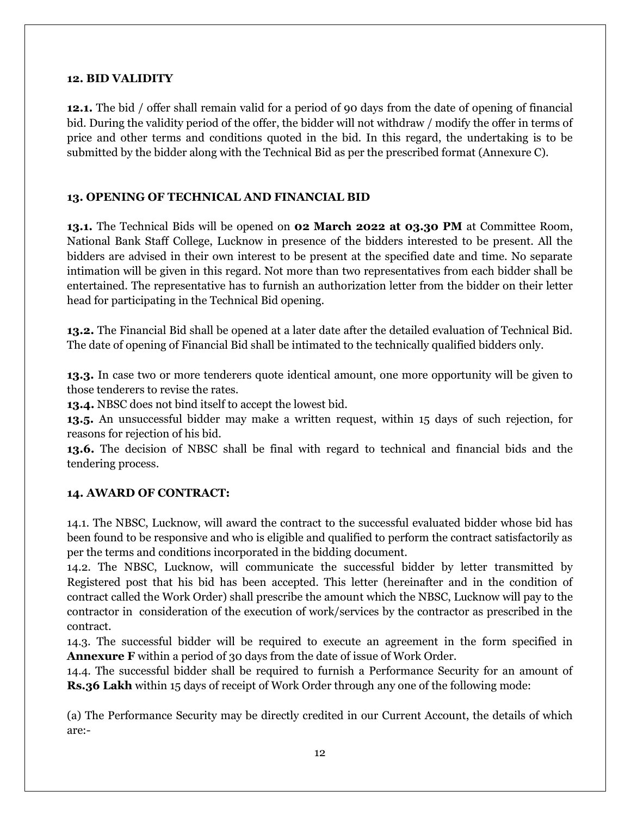#### **12. BID VALIDITY**

**12.1.** The bid / offer shall remain valid for a period of 90 days from the date of opening of financial bid. During the validity period of the offer, the bidder will not withdraw / modify the offer in terms of price and other terms and conditions quoted in the bid. In this regard, the undertaking is to be submitted by the bidder along with the Technical Bid as per the prescribed format (Annexure C).

## **13. OPENING OF TECHNICAL AND FINANCIAL BID**

**13.1.** The Technical Bids will be opened on **02 March 2022 at 03.30 PM** at Committee Room, National Bank Staff College, Lucknow in presence of the bidders interested to be present. All the bidders are advised in their own interest to be present at the specified date and time. No separate intimation will be given in this regard. Not more than two representatives from each bidder shall be entertained. The representative has to furnish an authorization letter from the bidder on their letter head for participating in the Technical Bid opening.

**13.2.** The Financial Bid shall be opened at a later date after the detailed evaluation of Technical Bid. The date of opening of Financial Bid shall be intimated to the technically qualified bidders only.

**13.3.** In case two or more tenderers quote identical amount, one more opportunity will be given to those tenderers to revise the rates.

**13.4.** NBSC does not bind itself to accept the lowest bid.

**13.5.** An unsuccessful bidder may make a written request, within 15 days of such rejection, for reasons for rejection of his bid.

**13.6.** The decision of NBSC shall be final with regard to technical and financial bids and the tendering process.

## **14. AWARD OF CONTRACT:**

14.1. The NBSC, Lucknow, will award the contract to the successful evaluated bidder whose bid has been found to be responsive and who is eligible and qualified to perform the contract satisfactorily as per the terms and conditions incorporated in the bidding document.

14.2. The NBSC, Lucknow, will communicate the successful bidder by letter transmitted by Registered post that his bid has been accepted. This letter (hereinafter and in the condition of contract called the Work Order) shall prescribe the amount which the NBSC, Lucknow will pay to the contractor in consideration of the execution of work/services by the contractor as prescribed in the contract.

14.3. The successful bidder will be required to execute an agreement in the form specified in **Annexure F** within a period of 30 days from the date of issue of Work Order.

14.4. The successful bidder shall be required to furnish a Performance Security for an amount of **Rs.36 Lakh** within 15 days of receipt of Work Order through any one of the following mode:

(a) The Performance Security may be directly credited in our Current Account, the details of which are:-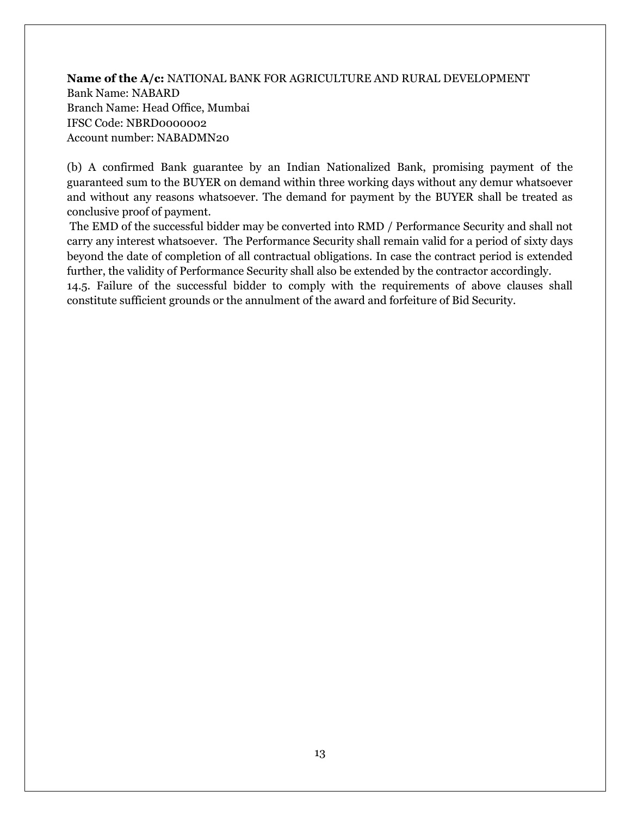## **Name of the A/c:** NATIONAL BANK FOR AGRICULTURE AND RURAL DEVELOPMENT Bank Name: NABARD Branch Name: Head Office, Mumbai IFSC Code: NBRD0000002 Account number: NABADMN20

(b) A confirmed Bank guarantee by an Indian Nationalized Bank, promising payment of the guaranteed sum to the BUYER on demand within three working days without any demur whatsoever and without any reasons whatsoever. The demand for payment by the BUYER shall be treated as conclusive proof of payment.

The EMD of the successful bidder may be converted into RMD / Performance Security and shall not carry any interest whatsoever. The Performance Security shall remain valid for a period of sixty days beyond the date of completion of all contractual obligations. In case the contract period is extended further, the validity of Performance Security shall also be extended by the contractor accordingly. 14.5. Failure of the successful bidder to comply with the requirements of above clauses shall constitute sufficient grounds or the annulment of the award and forfeiture of Bid Security.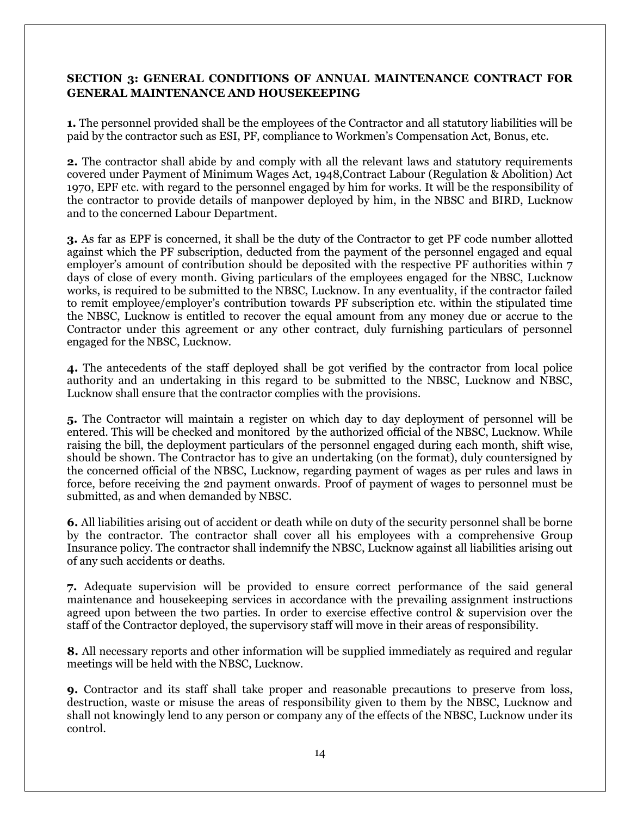## **SECTION 3: GENERAL CONDITIONS OF ANNUAL MAINTENANCE CONTRACT FOR GENERAL MAINTENANCE AND HOUSEKEEPING**

**1.** The personnel provided shall be the employees of the Contractor and all statutory liabilities will be paid by the contractor such as ESI, PF, compliance to Workmen's Compensation Act, Bonus, etc.

**2.** The contractor shall abide by and comply with all the relevant laws and statutory requirements covered under Payment of Minimum Wages Act, 1948,Contract Labour (Regulation & Abolition) Act 1970, EPF etc. with regard to the personnel engaged by him for works. It will be the responsibility of the contractor to provide details of manpower deployed by him, in the NBSC and BIRD, Lucknow and to the concerned Labour Department.

**3.** As far as EPF is concerned, it shall be the duty of the Contractor to get PF code number allotted against which the PF subscription, deducted from the payment of the personnel engaged and equal employer's amount of contribution should be deposited with the respective PF authorities within 7 days of close of every month. Giving particulars of the employees engaged for the NBSC, Lucknow works, is required to be submitted to the NBSC, Lucknow. In any eventuality, if the contractor failed to remit employee/employer's contribution towards PF subscription etc. within the stipulated time the NBSC, Lucknow is entitled to recover the equal amount from any money due or accrue to the Contractor under this agreement or any other contract, duly furnishing particulars of personnel engaged for the NBSC, Lucknow.

**4.** The antecedents of the staff deployed shall be got verified by the contractor from local police authority and an undertaking in this regard to be submitted to the NBSC, Lucknow and NBSC, Lucknow shall ensure that the contractor complies with the provisions.

**5.** The Contractor will maintain a register on which day to day deployment of personnel will be entered. This will be checked and monitored by the authorized official of the NBSC, Lucknow. While raising the bill, the deployment particulars of the personnel engaged during each month, shift wise, should be shown. The Contractor has to give an undertaking (on the format), duly countersigned by the concerned official of the NBSC, Lucknow, regarding payment of wages as per rules and laws in force, before receiving the 2nd payment onwards. Proof of payment of wages to personnel must be submitted, as and when demanded by NBSC.

**6.** All liabilities arising out of accident or death while on duty of the security personnel shall be borne by the contractor. The contractor shall cover all his employees with a comprehensive Group Insurance policy. The contractor shall indemnify the NBSC, Lucknow against all liabilities arising out of any such accidents or deaths.

**7.** Adequate supervision will be provided to ensure correct performance of the said general maintenance and housekeeping services in accordance with the prevailing assignment instructions agreed upon between the two parties. In order to exercise effective control & supervision over the staff of the Contractor deployed, the supervisory staff will move in their areas of responsibility.

**8.** All necessary reports and other information will be supplied immediately as required and regular meetings will be held with the NBSC, Lucknow.

**9.** Contractor and its staff shall take proper and reasonable precautions to preserve from loss, destruction, waste or misuse the areas of responsibility given to them by the NBSC, Lucknow and shall not knowingly lend to any person or company any of the effects of the NBSC, Lucknow under its control.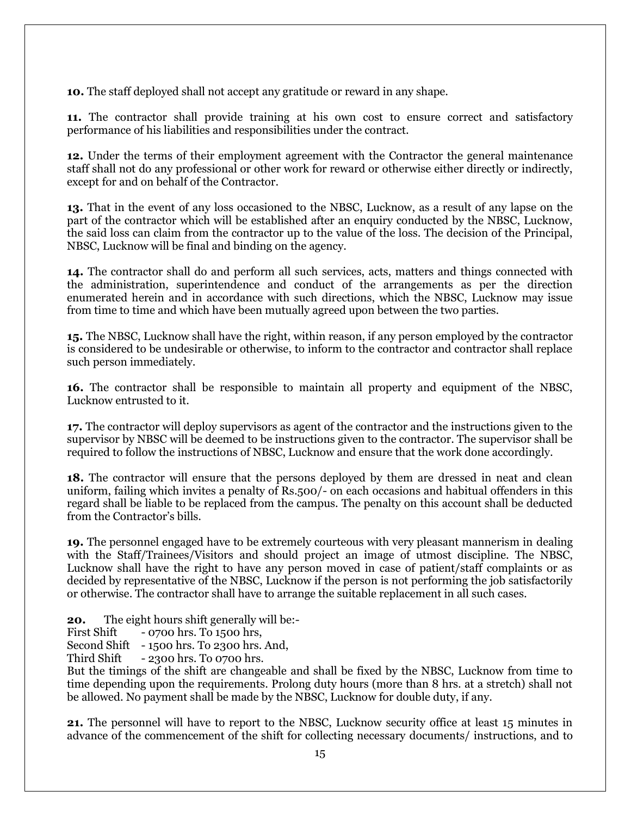**10.** The staff deployed shall not accept any gratitude or reward in any shape.

**11.** The contractor shall provide training at his own cost to ensure correct and satisfactory performance of his liabilities and responsibilities under the contract.

**12.** Under the terms of their employment agreement with the Contractor the general maintenance staff shall not do any professional or other work for reward or otherwise either directly or indirectly, except for and on behalf of the Contractor.

**13.** That in the event of any loss occasioned to the NBSC, Lucknow, as a result of any lapse on the part of the contractor which will be established after an enquiry conducted by the NBSC, Lucknow, the said loss can claim from the contractor up to the value of the loss. The decision of the Principal, NBSC, Lucknow will be final and binding on the agency.

**14.** The contractor shall do and perform all such services, acts, matters and things connected with the administration, superintendence and conduct of the arrangements as per the direction enumerated herein and in accordance with such directions, which the NBSC, Lucknow may issue from time to time and which have been mutually agreed upon between the two parties.

**15.** The NBSC, Lucknow shall have the right, within reason, if any person employed by the contractor is considered to be undesirable or otherwise, to inform to the contractor and contractor shall replace such person immediately.

**16.** The contractor shall be responsible to maintain all property and equipment of the NBSC, Lucknow entrusted to it.

**17.** The contractor will deploy supervisors as agent of the contractor and the instructions given to the supervisor by NBSC will be deemed to be instructions given to the contractor. The supervisor shall be required to follow the instructions of NBSC, Lucknow and ensure that the work done accordingly.

**18.** The contractor will ensure that the persons deployed by them are dressed in neat and clean uniform, failing which invites a penalty of Rs.500/- on each occasions and habitual offenders in this regard shall be liable to be replaced from the campus. The penalty on this account shall be deducted from the Contractor's bills.

**19.** The personnel engaged have to be extremely courteous with very pleasant mannerism in dealing with the Staff/Trainees/Visitors and should project an image of utmost discipline. The NBSC, Lucknow shall have the right to have any person moved in case of patient/staff complaints or as decided by representative of the NBSC, Lucknow if the person is not performing the job satisfactorily or otherwise. The contractor shall have to arrange the suitable replacement in all such cases.

**20.** The eight hours shift generally will be:-

First Shift - 0700 hrs. To 1500 hrs,

Second Shift - 1500 hrs. To 2300 hrs. And,

Third Shift  $-2300$  hrs. To 0700 hrs.

But the timings of the shift are changeable and shall be fixed by the NBSC, Lucknow from time to time depending upon the requirements. Prolong duty hours (more than 8 hrs. at a stretch) shall not be allowed. No payment shall be made by the NBSC, Lucknow for double duty, if any.

**21.** The personnel will have to report to the NBSC, Lucknow security office at least 15 minutes in advance of the commencement of the shift for collecting necessary documents/ instructions, and to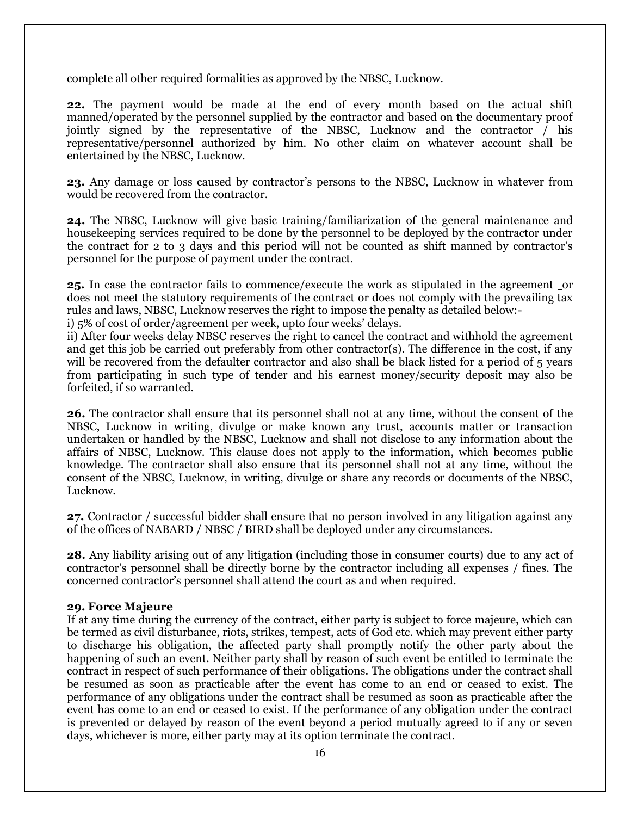complete all other required formalities as approved by the NBSC, Lucknow.

**22.** The payment would be made at the end of every month based on the actual shift manned/operated by the personnel supplied by the contractor and based on the documentary proof jointly signed by the representative of the NBSC, Lucknow and the contractor  $\overline{f}$  his representative/personnel authorized by him. No other claim on whatever account shall be entertained by the NBSC, Lucknow.

**23.** Any damage or loss caused by contractor's persons to the NBSC, Lucknow in whatever from would be recovered from the contractor.

**24.** The NBSC, Lucknow will give basic training/familiarization of the general maintenance and housekeeping services required to be done by the personnel to be deployed by the contractor under the contract for 2 to 3 days and this period will not be counted as shift manned by contractor's personnel for the purpose of payment under the contract.

**25.** In case the contractor fails to commence/execute the work as stipulated in the agreement or does not meet the statutory requirements of the contract or does not comply with the prevailing tax rules and laws, NBSC, Lucknow reserves the right to impose the penalty as detailed below:-

i) 5% of cost of order/agreement per week, upto four weeks' delays.

ii) After four weeks delay NBSC reserves the right to cancel the contract and withhold the agreement and get this job be carried out preferably from other contractor(s). The difference in the cost, if any will be recovered from the defaulter contractor and also shall be black listed for a period of 5 years from participating in such type of tender and his earnest money/security deposit may also be forfeited, if so warranted.

**26.** The contractor shall ensure that its personnel shall not at any time, without the consent of the NBSC, Lucknow in writing, divulge or make known any trust, accounts matter or transaction undertaken or handled by the NBSC, Lucknow and shall not disclose to any information about the affairs of NBSC, Lucknow. This clause does not apply to the information, which becomes public knowledge. The contractor shall also ensure that its personnel shall not at any time, without the consent of the NBSC, Lucknow, in writing, divulge or share any records or documents of the NBSC, Lucknow.

**27.** Contractor / successful bidder shall ensure that no person involved in any litigation against any of the offices of NABARD / NBSC / BIRD shall be deployed under any circumstances.

**28.** Any liability arising out of any litigation (including those in consumer courts) due to any act of contractor's personnel shall be directly borne by the contractor including all expenses / fines. The concerned contractor's personnel shall attend the court as and when required.

#### **29. Force Majeure**

If at any time during the currency of the contract, either party is subject to force majeure, which can be termed as civil disturbance, riots, strikes, tempest, acts of God etc. which may prevent either party to discharge his obligation, the affected party shall promptly notify the other party about the happening of such an event. Neither party shall by reason of such event be entitled to terminate the contract in respect of such performance of their obligations. The obligations under the contract shall be resumed as soon as practicable after the event has come to an end or ceased to exist. The performance of any obligations under the contract shall be resumed as soon as practicable after the event has come to an end or ceased to exist. If the performance of any obligation under the contract is prevented or delayed by reason of the event beyond a period mutually agreed to if any or seven days, whichever is more, either party may at its option terminate the contract.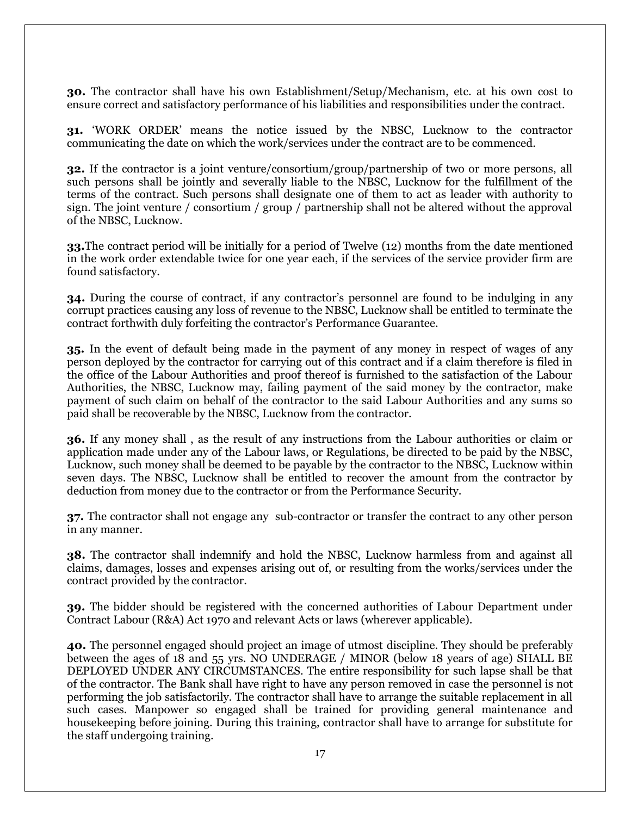**30.** The contractor shall have his own Establishment/Setup/Mechanism, etc. at his own cost to ensure correct and satisfactory performance of his liabilities and responsibilities under the contract.

**31.** 'WORK ORDER' means the notice issued by the NBSC, Lucknow to the contractor communicating the date on which the work/services under the contract are to be commenced.

**32.** If the contractor is a joint venture/consortium/group/partnership of two or more persons, all such persons shall be jointly and severally liable to the NBSC, Lucknow for the fulfillment of the terms of the contract. Such persons shall designate one of them to act as leader with authority to sign. The joint venture / consortium / group / partnership shall not be altered without the approval of the NBSC, Lucknow.

**33.**The contract period will be initially for a period of Twelve (12) months from the date mentioned in the work order extendable twice for one year each, if the services of the service provider firm are found satisfactory.

**34.** During the course of contract, if any contractor's personnel are found to be indulging in any corrupt practices causing any loss of revenue to the NBSC, Lucknow shall be entitled to terminate the contract forthwith duly forfeiting the contractor's Performance Guarantee.

**35.** In the event of default being made in the payment of any money in respect of wages of any person deployed by the contractor for carrying out of this contract and if a claim therefore is filed in the office of the Labour Authorities and proof thereof is furnished to the satisfaction of the Labour Authorities, the NBSC, Lucknow may, failing payment of the said money by the contractor, make payment of such claim on behalf of the contractor to the said Labour Authorities and any sums so paid shall be recoverable by the NBSC, Lucknow from the contractor.

**36.** If any money shall , as the result of any instructions from the Labour authorities or claim or application made under any of the Labour laws, or Regulations, be directed to be paid by the NBSC, Lucknow, such money shall be deemed to be payable by the contractor to the NBSC, Lucknow within seven days. The NBSC, Lucknow shall be entitled to recover the amount from the contractor by deduction from money due to the contractor or from the Performance Security.

**37.** The contractor shall not engage any sub-contractor or transfer the contract to any other person in any manner.

**38.** The contractor shall indemnify and hold the NBSC, Lucknow harmless from and against all claims, damages, losses and expenses arising out of, or resulting from the works/services under the contract provided by the contractor.

**39.** The bidder should be registered with the concerned authorities of Labour Department under Contract Labour (R&A) Act 1970 and relevant Acts or laws (wherever applicable).

**40.** The personnel engaged should project an image of utmost discipline. They should be preferably between the ages of 18 and 55 yrs. NO UNDERAGE / MINOR (below 18 years of age) SHALL BE DEPLOYED UNDER ANY CIRCUMSTANCES. The entire responsibility for such lapse shall be that of the contractor. The Bank shall have right to have any person removed in case the personnel is not performing the job satisfactorily. The contractor shall have to arrange the suitable replacement in all such cases. Manpower so engaged shall be trained for providing general maintenance and housekeeping before joining. During this training, contractor shall have to arrange for substitute for the staff undergoing training.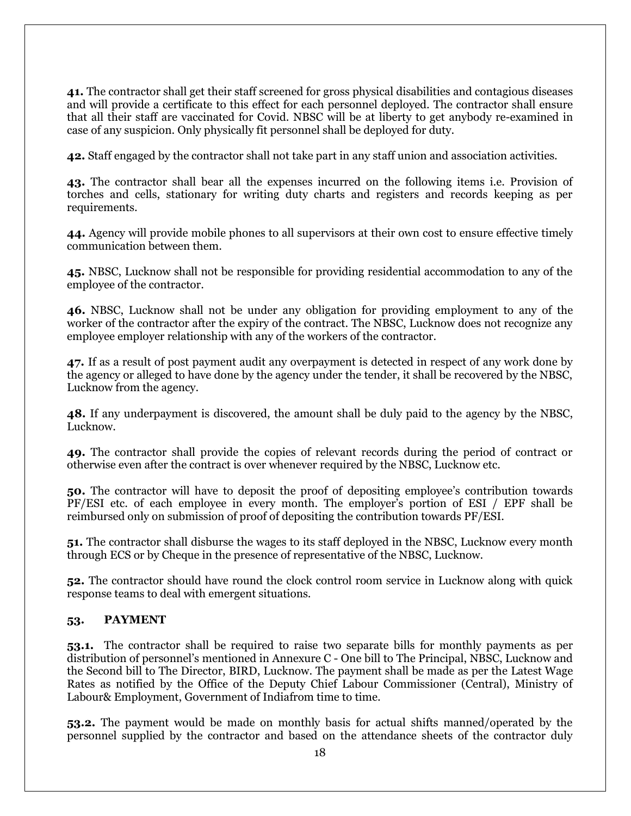**41.** The contractor shall get their staff screened for gross physical disabilities and contagious diseases and will provide a certificate to this effect for each personnel deployed. The contractor shall ensure that all their staff are vaccinated for Covid. NBSC will be at liberty to get anybody re-examined in case of any suspicion. Only physically fit personnel shall be deployed for duty.

**42.** Staff engaged by the contractor shall not take part in any staff union and association activities.

**43.** The contractor shall bear all the expenses incurred on the following items i.e. Provision of torches and cells, stationary for writing duty charts and registers and records keeping as per requirements.

**44.** Agency will provide mobile phones to all supervisors at their own cost to ensure effective timely communication between them.

**45.** NBSC, Lucknow shall not be responsible for providing residential accommodation to any of the employee of the contractor.

**46.** NBSC, Lucknow shall not be under any obligation for providing employment to any of the worker of the contractor after the expiry of the contract. The NBSC, Lucknow does not recognize any employee employer relationship with any of the workers of the contractor.

**47.** If as a result of post payment audit any overpayment is detected in respect of any work done by the agency or alleged to have done by the agency under the tender, it shall be recovered by the NBSC, Lucknow from the agency.

**48.** If any underpayment is discovered, the amount shall be duly paid to the agency by the NBSC, Lucknow.

**49.** The contractor shall provide the copies of relevant records during the period of contract or otherwise even after the contract is over whenever required by the NBSC, Lucknow etc.

**50.** The contractor will have to deposit the proof of depositing employee's contribution towards PF/ESI etc. of each employee in every month. The employer's portion of ESI / EPF shall be reimbursed only on submission of proof of depositing the contribution towards PF/ESI.

**51.** The contractor shall disburse the wages to its staff deployed in the NBSC, Lucknow every month through ECS or by Cheque in the presence of representative of the NBSC, Lucknow.

**52.** The contractor should have round the clock control room service in Lucknow along with quick response teams to deal with emergent situations.

#### **53. PAYMENT**

**53.1.** The contractor shall be required to raise two separate bills for monthly payments as per distribution of personnel's mentioned in Annexure C - One bill to The Principal, NBSC, Lucknow and the Second bill to The Director, BIRD, Lucknow. The payment shall be made as per the Latest Wage Rates as notified by the Office of the Deputy Chief Labour Commissioner (Central), Ministry of Labour& Employment, Government of Indiafrom time to time.

**53.2.** The payment would be made on monthly basis for actual shifts manned/operated by the personnel supplied by the contractor and based on the attendance sheets of the contractor duly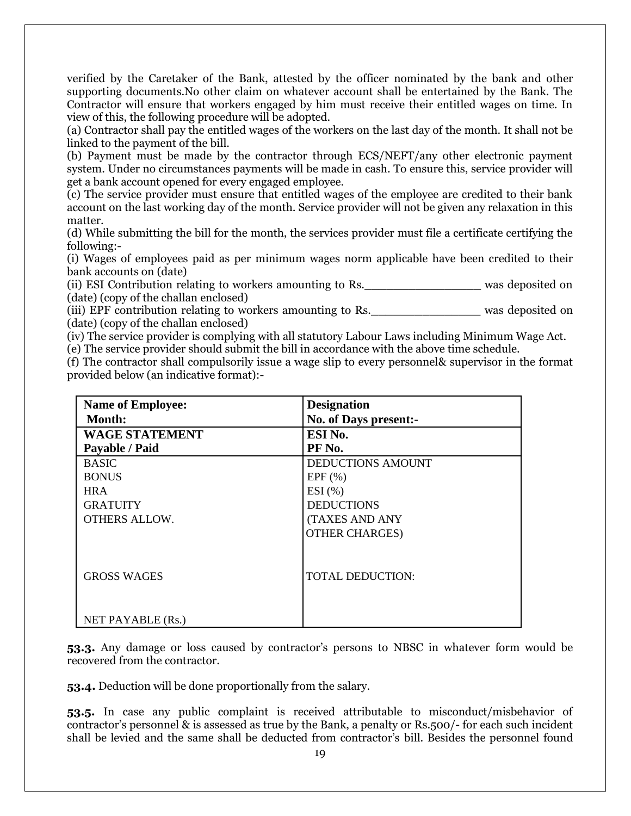verified by the Caretaker of the Bank, attested by the officer nominated by the bank and other supporting documents.No other claim on whatever account shall be entertained by the Bank. The Contractor will ensure that workers engaged by him must receive their entitled wages on time. In view of this, the following procedure will be adopted.

(a) Contractor shall pay the entitled wages of the workers on the last day of the month. It shall not be linked to the payment of the bill.

(b) Payment must be made by the contractor through ECS/NEFT/any other electronic payment system. Under no circumstances payments will be made in cash. To ensure this, service provider will get a bank account opened for every engaged employee.

(c) The service provider must ensure that entitled wages of the employee are credited to their bank account on the last working day of the month. Service provider will not be given any relaxation in this matter.

(d) While submitting the bill for the month, the services provider must file a certificate certifying the following:-

(i) Wages of employees paid as per minimum wages norm applicable have been credited to their bank accounts on (date)

(ii) ESI Contribution relating to workers amounting to Rs.\_\_\_\_\_\_\_\_\_\_\_\_\_\_\_\_ was deposited on (date) (copy of the challan enclosed)

(iii) EPF contribution relating to workers amounting to Rs. The was deposited on (date) (copy of the challan enclosed)

(iv) The service provider is complying with all statutory Labour Laws including Minimum Wage Act. (e) The service provider should submit the bill in accordance with the above time schedule.

(f) The contractor shall compulsorily issue a wage slip to every personnel& supervisor in the format provided below (an indicative format):-

| <b>Name of Employee:</b> | <b>Designation</b>       |  |
|--------------------------|--------------------------|--|
| <b>Month:</b>            | No. of Days present:-    |  |
| <b>WAGE STATEMENT</b>    | ESI No.                  |  |
| Payable / Paid           | PF No.                   |  |
| <b>BASIC</b>             | <b>DEDUCTIONS AMOUNT</b> |  |
| <b>BONUS</b>             | EPF(%)                   |  |
| <b>HRA</b>               | $ESI$ $(\% )$            |  |
| <b>GRATUITY</b>          | <b>DEDUCTIONS</b>        |  |
| <b>OTHERS ALLOW.</b>     | <b>(TAXES AND ANY</b>    |  |
|                          | <b>OTHER CHARGES)</b>    |  |
|                          |                          |  |
|                          |                          |  |
| <b>GROSS WAGES</b>       | <b>TOTAL DEDUCTION:</b>  |  |
|                          |                          |  |
|                          |                          |  |
| NET PAYABLE (Rs.)        |                          |  |

**53.3.** Any damage or loss caused by contractor's persons to NBSC in whatever form would be recovered from the contractor.

**53.4.** Deduction will be done proportionally from the salary.

**53.5.** In case any public complaint is received attributable to misconduct/misbehavior of contractor's personnel & is assessed as true by the Bank, a penalty or Rs.500/- for each such incident shall be levied and the same shall be deducted from contractor's bill. Besides the personnel found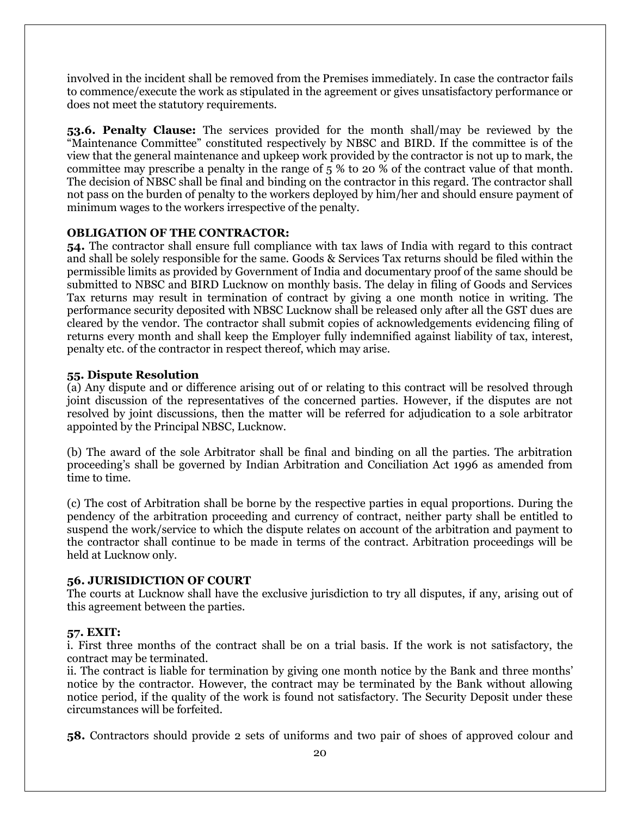involved in the incident shall be removed from the Premises immediately. In case the contractor fails to commence/execute the work as stipulated in the agreement or gives unsatisfactory performance or does not meet the statutory requirements.

**53.6. Penalty Clause:** The services provided for the month shall/may be reviewed by the "Maintenance Committee" constituted respectively by NBSC and BIRD. If the committee is of the view that the general maintenance and upkeep work provided by the contractor is not up to mark, the committee may prescribe a penalty in the range of 5 % to 20 % of the contract value of that month. The decision of NBSC shall be final and binding on the contractor in this regard. The contractor shall not pass on the burden of penalty to the workers deployed by him/her and should ensure payment of minimum wages to the workers irrespective of the penalty.

#### **OBLIGATION OF THE CONTRACTOR:**

**54.** The contractor shall ensure full compliance with tax laws of India with regard to this contract and shall be solely responsible for the same. Goods & Services Tax returns should be filed within the permissible limits as provided by Government of India and documentary proof of the same should be submitted to NBSC and BIRD Lucknow on monthly basis. The delay in filing of Goods and Services Tax returns may result in termination of contract by giving a one month notice in writing. The performance security deposited with NBSC Lucknow shall be released only after all the GST dues are cleared by the vendor. The contractor shall submit copies of acknowledgements evidencing filing of returns every month and shall keep the Employer fully indemnified against liability of tax, interest, penalty etc. of the contractor in respect thereof, which may arise.

#### **55. Dispute Resolution**

(a) Any dispute and or difference arising out of or relating to this contract will be resolved through joint discussion of the representatives of the concerned parties. However, if the disputes are not resolved by joint discussions, then the matter will be referred for adjudication to a sole arbitrator appointed by the Principal NBSC, Lucknow.

(b) The award of the sole Arbitrator shall be final and binding on all the parties. The arbitration proceeding's shall be governed by Indian Arbitration and Conciliation Act 1996 as amended from time to time.

(c) The cost of Arbitration shall be borne by the respective parties in equal proportions. During the pendency of the arbitration proceeding and currency of contract, neither party shall be entitled to suspend the work/service to which the dispute relates on account of the arbitration and payment to the contractor shall continue to be made in terms of the contract. Arbitration proceedings will be held at Lucknow only.

#### **56. JURISIDICTION OF COURT**

The courts at Lucknow shall have the exclusive jurisdiction to try all disputes, if any, arising out of this agreement between the parties.

#### **57. EXIT:**

i. First three months of the contract shall be on a trial basis. If the work is not satisfactory, the contract may be terminated.

ii. The contract is liable for termination by giving one month notice by the Bank and three months' notice by the contractor. However, the contract may be terminated by the Bank without allowing notice period, if the quality of the work is found not satisfactory. The Security Deposit under these circumstances will be forfeited.

**58.** Contractors should provide 2 sets of uniforms and two pair of shoes of approved colour and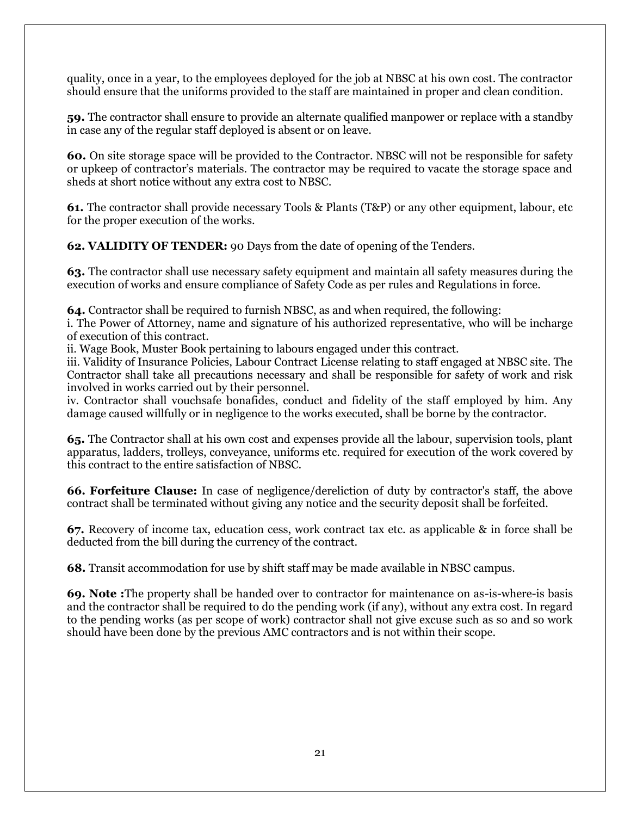quality, once in a year, to the employees deployed for the job at NBSC at his own cost. The contractor should ensure that the uniforms provided to the staff are maintained in proper and clean condition.

**59.** The contractor shall ensure to provide an alternate qualified manpower or replace with a standby in case any of the regular staff deployed is absent or on leave.

**60.** On site storage space will be provided to the Contractor. NBSC will not be responsible for safety or upkeep of contractor's materials. The contractor may be required to vacate the storage space and sheds at short notice without any extra cost to NBSC.

**61.** The contractor shall provide necessary Tools & Plants (T&P) or any other equipment, labour, etc for the proper execution of the works.

**62. VALIDITY OF TENDER:** 90 Days from the date of opening of the Tenders.

**63.** The contractor shall use necessary safety equipment and maintain all safety measures during the execution of works and ensure compliance of Safety Code as per rules and Regulations in force.

**64.** Contractor shall be required to furnish NBSC, as and when required, the following:

i. The Power of Attorney, name and signature of his authorized representative, who will be incharge of execution of this contract.

ii. Wage Book, Muster Book pertaining to labours engaged under this contract.

iii. Validity of Insurance Policies, Labour Contract License relating to staff engaged at NBSC site. The Contractor shall take all precautions necessary and shall be responsible for safety of work and risk involved in works carried out by their personnel.

iv. Contractor shall vouchsafe bonafides, conduct and fidelity of the staff employed by him. Any damage caused willfully or in negligence to the works executed, shall be borne by the contractor.

**65.** The Contractor shall at his own cost and expenses provide all the labour, supervision tools, plant apparatus, ladders, trolleys, conveyance, uniforms etc. required for execution of the work covered by this contract to the entire satisfaction of NBSC.

**66. Forfeiture Clause:** In case of negligence/dereliction of duty by contractor's staff, the above contract shall be terminated without giving any notice and the security deposit shall be forfeited.

**67.** Recovery of income tax, education cess, work contract tax etc. as applicable & in force shall be deducted from the bill during the currency of the contract.

**68.** Transit accommodation for use by shift staff may be made available in NBSC campus.

**69. Note :**The property shall be handed over to contractor for maintenance on as-is-where-is basis and the contractor shall be required to do the pending work (if any), without any extra cost. In regard to the pending works (as per scope of work) contractor shall not give excuse such as so and so work should have been done by the previous AMC contractors and is not within their scope.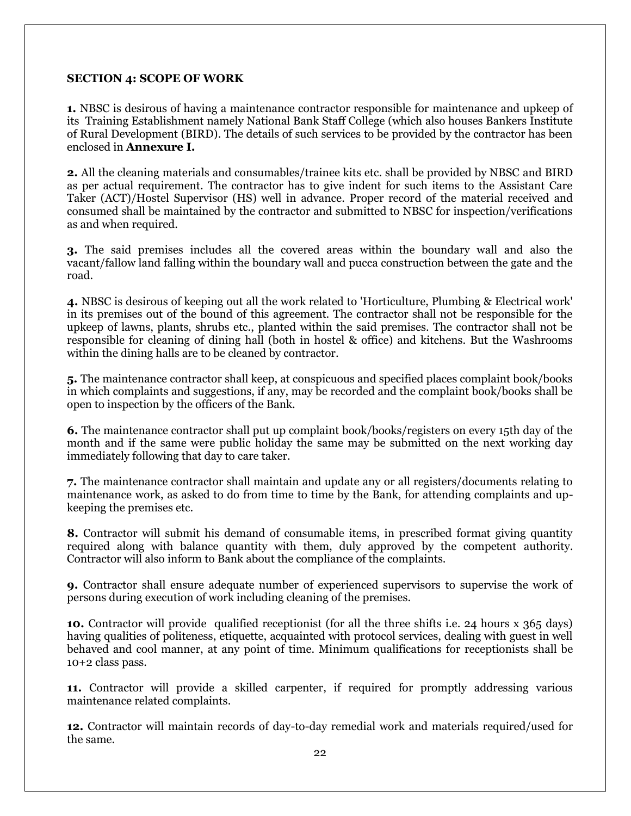## **SECTION 4: SCOPE OF WORK**

**1.** NBSC is desirous of having a maintenance contractor responsible for maintenance and upkeep of its Training Establishment namely National Bank Staff College (which also houses Bankers Institute of Rural Development (BIRD). The details of such services to be provided by the contractor has been enclosed in **Annexure I.**

**2.** All the cleaning materials and consumables/trainee kits etc. shall be provided by NBSC and BIRD as per actual requirement. The contractor has to give indent for such items to the Assistant Care Taker (ACT)/Hostel Supervisor (HS) well in advance. Proper record of the material received and consumed shall be maintained by the contractor and submitted to NBSC for inspection/verifications as and when required.

**3.** The said premises includes all the covered areas within the boundary wall and also the vacant/fallow land falling within the boundary wall and pucca construction between the gate and the road.

**4.** NBSC is desirous of keeping out all the work related to 'Horticulture, Plumbing & Electrical work' in its premises out of the bound of this agreement. The contractor shall not be responsible for the upkeep of lawns, plants, shrubs etc., planted within the said premises. The contractor shall not be responsible for cleaning of dining hall (both in hostel & office) and kitchens. But the Washrooms within the dining halls are to be cleaned by contractor.

**5.** The maintenance contractor shall keep, at conspicuous and specified places complaint book/books in which complaints and suggestions, if any, may be recorded and the complaint book/books shall be open to inspection by the officers of the Bank.

**6.** The maintenance contractor shall put up complaint book/books/registers on every 15th day of the month and if the same were public holiday the same may be submitted on the next working day immediately following that day to care taker.

**7.** The maintenance contractor shall maintain and update any or all registers/documents relating to maintenance work, as asked to do from time to time by the Bank, for attending complaints and upkeeping the premises etc.

**8.** Contractor will submit his demand of consumable items, in prescribed format giving quantity required along with balance quantity with them, duly approved by the competent authority. Contractor will also inform to Bank about the compliance of the complaints.

**9.** Contractor shall ensure adequate number of experienced supervisors to supervise the work of persons during execution of work including cleaning of the premises.

**10.** Contractor will provide qualified receptionist (for all the three shifts i.e. 24 hours x 365 days) having qualities of politeness, etiquette, acquainted with protocol services, dealing with guest in well behaved and cool manner, at any point of time. Minimum qualifications for receptionists shall be 10+2 class pass.

**11.** Contractor will provide a skilled carpenter, if required for promptly addressing various maintenance related complaints.

**12.** Contractor will maintain records of day-to-day remedial work and materials required/used for the same.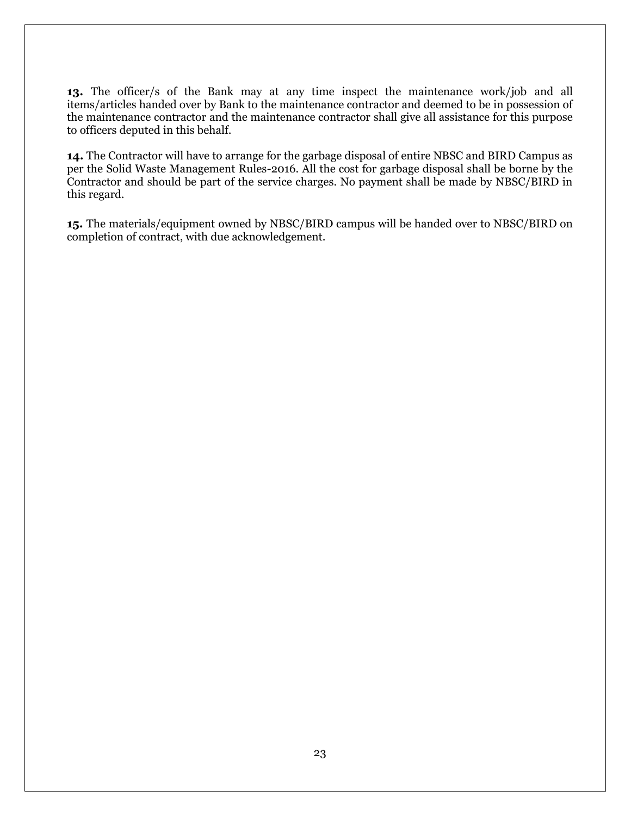**13.** The officer/s of the Bank may at any time inspect the maintenance work/job and all items/articles handed over by Bank to the maintenance contractor and deemed to be in possession of the maintenance contractor and the maintenance contractor shall give all assistance for this purpose to officers deputed in this behalf.

**14.** The Contractor will have to arrange for the garbage disposal of entire NBSC and BIRD Campus as per the Solid Waste Management Rules-2016. All the cost for garbage disposal shall be borne by the Contractor and should be part of the service charges. No payment shall be made by NBSC/BIRD in this regard.

**15.** The materials/equipment owned by NBSC/BIRD campus will be handed over to NBSC/BIRD on completion of contract, with due acknowledgement.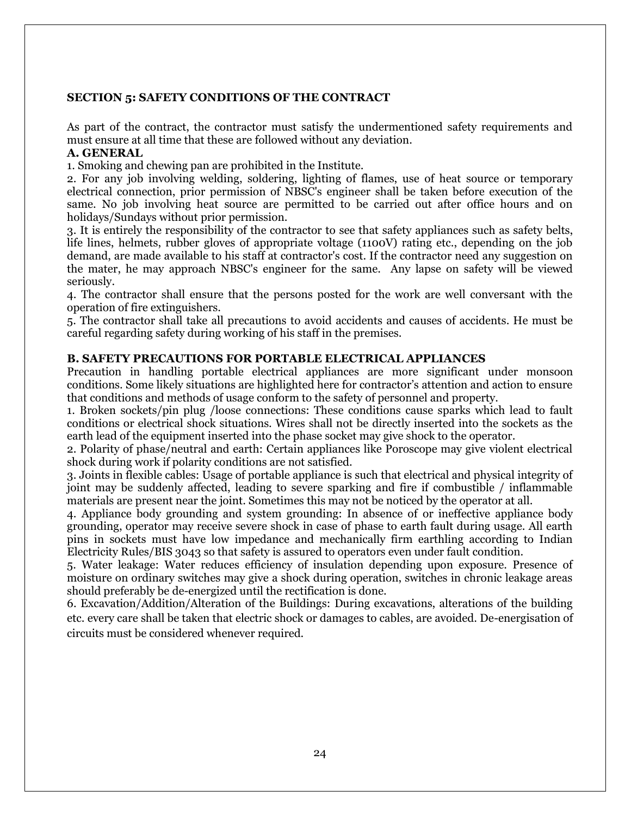#### **SECTION 5: SAFETY CONDITIONS OF THE CONTRACT**

As part of the contract, the contractor must satisfy the undermentioned safety requirements and must ensure at all time that these are followed without any deviation.

#### **A. GENERAL**

1. Smoking and chewing pan are prohibited in the Institute.

2. For any job involving welding, soldering, lighting of flames, use of heat source or temporary electrical connection, prior permission of NBSC's engineer shall be taken before execution of the same. No job involving heat source are permitted to be carried out after office hours and on holidays/Sundays without prior permission.

3. It is entirely the responsibility of the contractor to see that safety appliances such as safety belts, life lines, helmets, rubber gloves of appropriate voltage (1100V) rating etc., depending on the job demand, are made available to his staff at contractor's cost. If the contractor need any suggestion on the mater, he may approach NBSC's engineer for the same. Any lapse on safety will be viewed seriously.

4. The contractor shall ensure that the persons posted for the work are well conversant with the operation of fire extinguishers.

5. The contractor shall take all precautions to avoid accidents and causes of accidents. He must be careful regarding safety during working of his staff in the premises.

#### **B. SAFETY PRECAUTIONS FOR PORTABLE ELECTRICAL APPLIANCES**

Precaution in handling portable electrical appliances are more significant under monsoon conditions. Some likely situations are highlighted here for contractor's attention and action to ensure that conditions and methods of usage conform to the safety of personnel and property.

1. Broken sockets/pin plug /loose connections: These conditions cause sparks which lead to fault conditions or electrical shock situations. Wires shall not be directly inserted into the sockets as the earth lead of the equipment inserted into the phase socket may give shock to the operator.

2. Polarity of phase/neutral and earth: Certain appliances like Poroscope may give violent electrical shock during work if polarity conditions are not satisfied.

3. Joints in flexible cables: Usage of portable appliance is such that electrical and physical integrity of joint may be suddenly affected, leading to severe sparking and fire if combustible / inflammable materials are present near the joint. Sometimes this may not be noticed by the operator at all.

4. Appliance body grounding and system grounding: In absence of or ineffective appliance body grounding, operator may receive severe shock in case of phase to earth fault during usage. All earth pins in sockets must have low impedance and mechanically firm earthling according to Indian Electricity Rules/BIS 3043 so that safety is assured to operators even under fault condition.

5. Water leakage: Water reduces efficiency of insulation depending upon exposure. Presence of moisture on ordinary switches may give a shock during operation, switches in chronic leakage areas should preferably be de-energized until the rectification is done.

6. Excavation/Addition/Alteration of the Buildings: During excavations, alterations of the building etc. every care shall be taken that electric shock or damages to cables, are avoided. De-energisation of circuits must be considered whenever required.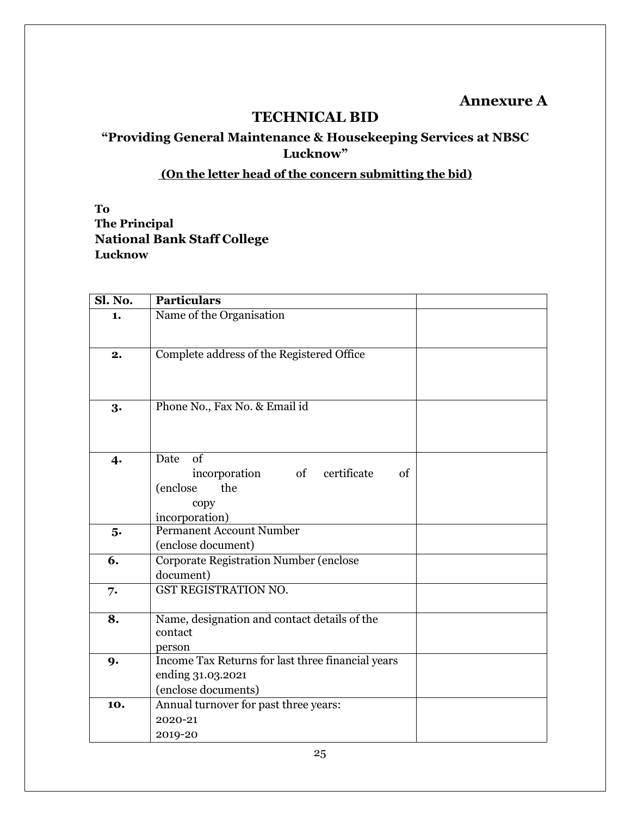## **Annexure A**

## **TECHNICAL BID**

## **"Providing General Maintenance & Housekeeping Services at NBSC Lucknow"**

## **(On the letter head of the concern submitting the bid)**

**To The Principal National Bank Staff College Lucknow**

| Sl. No. | <b>Particulars</b>                                                                                   |  |
|---------|------------------------------------------------------------------------------------------------------|--|
| 1.      | Name of the Organisation                                                                             |  |
| 2.      | Complete address of the Registered Office                                                            |  |
| 3.      | Phone No., Fax No. & Email id                                                                        |  |
| 4.      | Date<br>of<br>of<br>certificate<br>incorporation<br>of<br>(enclose)<br>the<br>copy<br>incorporation) |  |
| 5.      | Permanent Account Number<br>(enclose document)                                                       |  |
| 6.      | <b>Corporate Registration Number (enclose</b><br>document)                                           |  |
| 7.      | GST REGISTRATION NO.                                                                                 |  |
| 8.      | Name, designation and contact details of the<br>contact<br>person                                    |  |
| 9.      | Income Tax Returns for last three financial years<br>ending 31.03.2021<br>(enclose documents)        |  |
| 10.     | Annual turnover for past three years:<br>2020-21<br>2019-20                                          |  |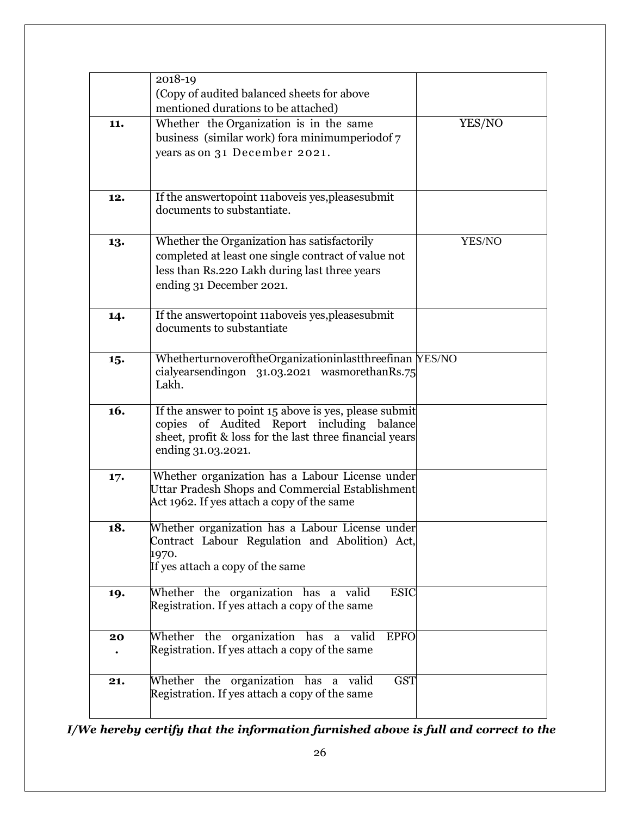|     | 2018-19<br>(Copy of audited balanced sheets for above<br>mentioned durations to be attached)                                                                                         |        |
|-----|--------------------------------------------------------------------------------------------------------------------------------------------------------------------------------------|--------|
| 11. | Whether the Organization is in the same<br>business (similar work) for a minimum period of 7<br>years as on 31 December 2021.                                                        | YES/NO |
| 12. | If the answertopoint 11aboveis yes, pleases ubmit<br>documents to substantiate.                                                                                                      |        |
| 13. | Whether the Organization has satisfactorily<br>completed at least one single contract of value not<br>less than Rs.220 Lakh during last three years<br>ending 31 December 2021.      | YES/NO |
| 14. | If the answertopoint 11aboveis yes, pleases ubmit<br>documents to substantiate                                                                                                       |        |
| 15. | WhetherturnoveroftheOrganizationinlastthreefinan YES/NO<br>cialyearsendingon 31.03.2021 wasmorethanRs.75<br>Lakh.                                                                    |        |
| 16. | If the answer to point 15 above is yes, please submit<br>copies of Audited Report including balance<br>sheet, profit & loss for the last three financial years<br>ending 31.03.2021. |        |
| 17. | Whether organization has a Labour License under<br><b>Uttar Pradesh Shops and Commercial Establishment</b><br>Act 1962. If yes attach a copy of the same                             |        |
| 18. | Whether organization has a Labour License under<br>Contract Labour Regulation and Abolition) Act,<br>1970.<br>If yes attach a copy of the same                                       |        |
| 19. | Whether the organization has a valid<br><b>ESIC</b><br>Registration. If yes attach a copy of the same                                                                                |        |
| 20  | Whether the organization has a valid<br><b>EPFO</b><br>Registration. If yes attach a copy of the same                                                                                |        |
| 21. | Whether the organization has a valid<br><b>GST</b><br>Registration. If yes attach a copy of the same                                                                                 |        |

*I/We hereby certify that the information furnished above is full and correct to the*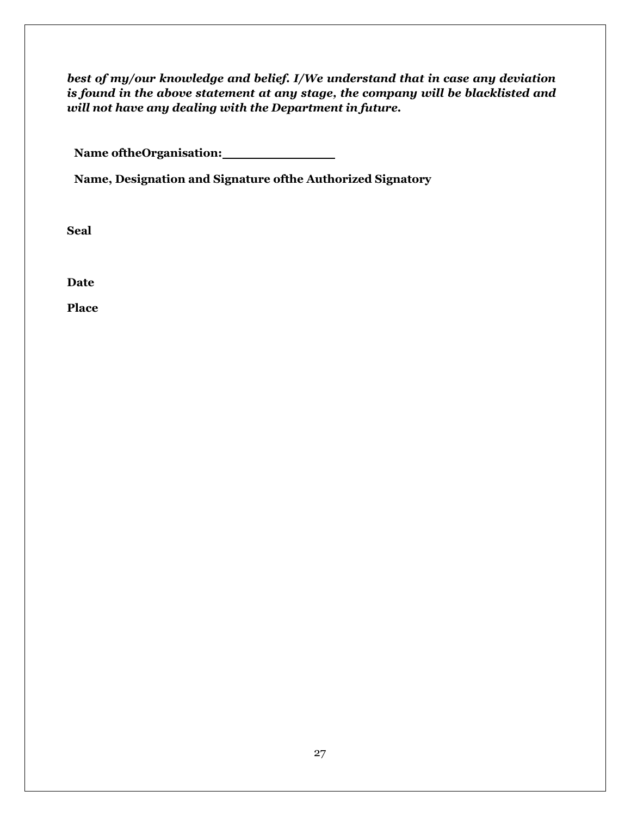*best of my/our knowledge and belief. I/We understand that in case any deviation is found in the above statement at any stage, the company will be blacklisted and will not have any dealing with the Department in future.*

**Name oftheOrganisation:**

**Name, Designation and Signature ofthe Authorized Signatory**

**Seal**

**Date**

**Place**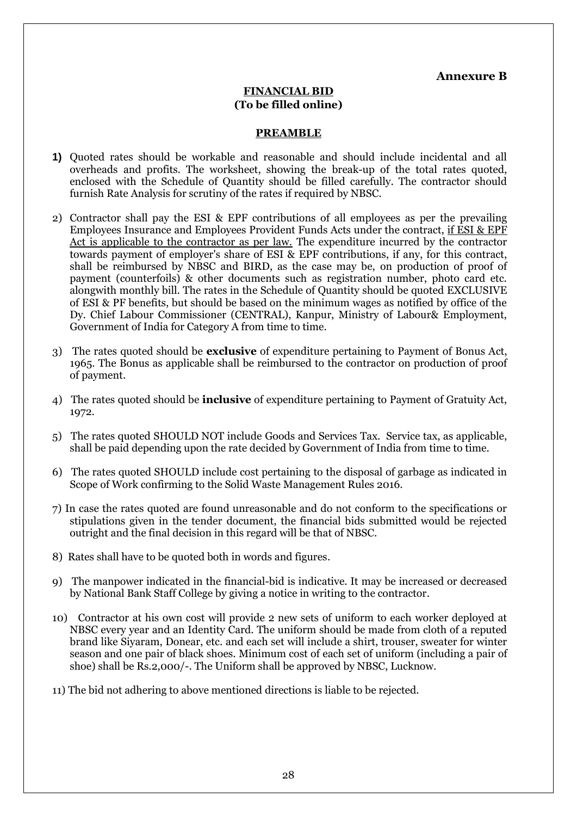**Annexure B**

## **FINANCIAL BID (To be filled online)**

## **PREAMBLE**

- **1)** Quoted rates should be workable and reasonable and should include incidental and all overheads and profits. The worksheet, showing the break-up of the total rates quoted, enclosed with the Schedule of Quantity should be filled carefully. The contractor should furnish Rate Analysis for scrutiny of the rates if required by NBSC.
- 2) Contractor shall pay the ESI & EPF contributions of all employees as per the prevailing Employees Insurance and Employees Provident Funds Acts under the contract, if ESI & EPF Act is applicable to the contractor as per law. The expenditure incurred by the contractor towards payment of employer's share of ESI & EPF contributions, if any, for this contract, shall be reimbursed by NBSC and BIRD, as the case may be, on production of proof of payment (counterfoils) & other documents such as registration number, photo card etc. alongwith monthly bill. The rates in the Schedule of Quantity should be quoted EXCLUSIVE of ESI & PF benefits, but should be based on the minimum wages as notified by office of the Dy. Chief Labour Commissioner (CENTRAL), Kanpur, Ministry of Labour& Employment, Government of India for Category A from time to time.
- 3) The rates quoted should be **exclusive** of expenditure pertaining to Payment of Bonus Act, 1965. The Bonus as applicable shall be reimbursed to the contractor on production of proof of payment.
- 4) The rates quoted should be **inclusive** of expenditure pertaining to Payment of Gratuity Act, 1972.
- 5) The rates quoted SHOULD NOT include Goods and Services Tax. Service tax, as applicable, shall be paid depending upon the rate decided by Government of India from time to time.
- 6) The rates quoted SHOULD include cost pertaining to the disposal of garbage as indicated in Scope of Work confirming to the Solid Waste Management Rules 2016.
- 7) In case the rates quoted are found unreasonable and do not conform to the specifications or stipulations given in the tender document, the financial bids submitted would be rejected outright and the final decision in this regard will be that of NBSC.
- 8) Rates shall have to be quoted both in words and figures.
- 9) The manpower indicated in the financial-bid is indicative. It may be increased or decreased by National Bank Staff College by giving a notice in writing to the contractor.
- 10) Contractor at his own cost will provide 2 new sets of uniform to each worker deployed at NBSC every year and an Identity Card. The uniform should be made from cloth of a reputed brand like Siyaram, Donear, etc. and each set will include a shirt, trouser, sweater for winter season and one pair of black shoes. Minimum cost of each set of uniform (including a pair of shoe) shall be Rs.2,000/-. The Uniform shall be approved by NBSC, Lucknow.
- 11) The bid not adhering to above mentioned directions is liable to be rejected.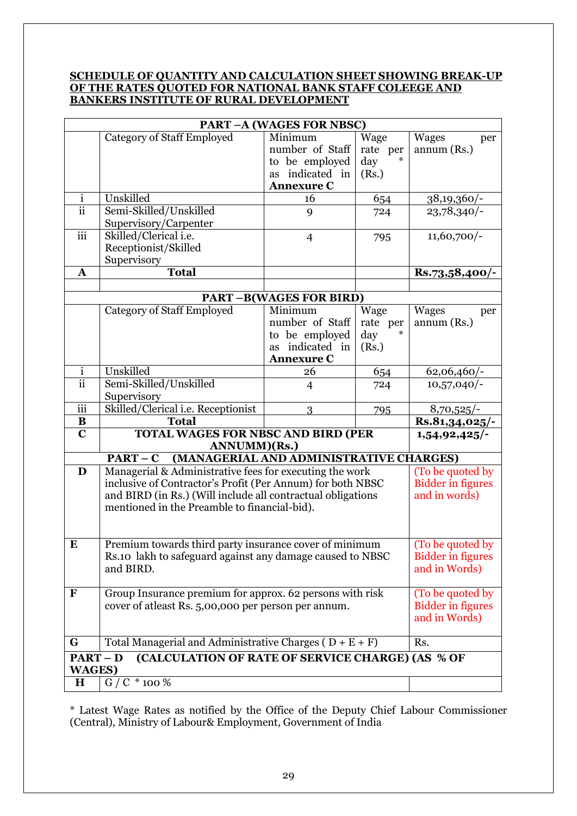## **SCHEDULE OF QUANTITY AND CALCULATION SHEET SHOWING BREAK-UP OF THE RATES QUOTED FOR NATIONAL BANK STAFF COLEEGE AND BANKERS INSTITUTE OF RURAL DEVELOPMENT**

| <b>PART-A (WAGES FOR NBSC)</b> |                                                                                                                                                                                                                                      |                               |          |                                                               |
|--------------------------------|--------------------------------------------------------------------------------------------------------------------------------------------------------------------------------------------------------------------------------------|-------------------------------|----------|---------------------------------------------------------------|
|                                | <b>Category of Staff Employed</b>                                                                                                                                                                                                    | Minimum                       | Wage     | <b>Wages</b><br>per                                           |
|                                |                                                                                                                                                                                                                                      | number of Staff               | rate per | annum (Rs.)                                                   |
|                                |                                                                                                                                                                                                                                      | to be employed                | day      |                                                               |
|                                |                                                                                                                                                                                                                                      | indicated in<br><b>as</b>     | (Rs.)    |                                                               |
|                                |                                                                                                                                                                                                                                      | <b>Annexure C</b>             |          |                                                               |
| $\mathbf{i}$                   | Unskilled                                                                                                                                                                                                                            | 16                            | 654      | $38,19,360/$ -                                                |
| $\overline{ii}$                | Semi-Skilled/Unskilled<br>Supervisory/Carpenter                                                                                                                                                                                      | 9                             | 724      | $23,78,340/-$                                                 |
| iii                            | Skilled/Clerical i.e.<br>Receptionist/Skilled<br>Supervisory                                                                                                                                                                         | $\overline{4}$                | 795      | $11,60,700/-$                                                 |
| $\mathbf{A}$                   | <b>Total</b>                                                                                                                                                                                                                         |                               |          | $Rs.73,58,400/-$                                              |
|                                |                                                                                                                                                                                                                                      |                               |          |                                                               |
|                                |                                                                                                                                                                                                                                      | <b>PART-B(WAGES FOR BIRD)</b> |          |                                                               |
|                                | <b>Category of Staff Employed</b>                                                                                                                                                                                                    | Minimum                       | Wage     | <b>Wages</b><br>per                                           |
|                                |                                                                                                                                                                                                                                      | number of Staff               | rate per | annum (Rs.)                                                   |
|                                |                                                                                                                                                                                                                                      | to be employed                | day      |                                                               |
|                                |                                                                                                                                                                                                                                      | indicated in<br><b>as</b>     | (Rs.)    |                                                               |
|                                |                                                                                                                                                                                                                                      | <b>Annexure C</b>             |          |                                                               |
| $\mathbf{i}$                   | Unskilled                                                                                                                                                                                                                            | 26                            | 654      | 62,06,460/-                                                   |
| $\overline{ii}$                | Semi-Skilled/Unskilled                                                                                                                                                                                                               | $\overline{4}$                | 724      | $10,57,040/$ -                                                |
|                                | Supervisory                                                                                                                                                                                                                          |                               |          |                                                               |
| iii                            | Skilled/Clerical i.e. Receptionist                                                                                                                                                                                                   | 3                             | 795      | 8,70,525/                                                     |
|                                |                                                                                                                                                                                                                                      |                               |          |                                                               |
| B                              | <b>Total</b>                                                                                                                                                                                                                         |                               |          | $\overline{\text{Rs}}.81,34,025/$                             |
| $\mathbf C$                    | <b>TOTAL WAGES FOR NBSC AND BIRD (PER</b><br>ANNUMM)(Rs.)                                                                                                                                                                            |                               |          | 1,54,92,425/                                                  |
|                                | (MANAGERIAL AND ADMINISTRATIVE CHARGES)<br>$PART - C$                                                                                                                                                                                |                               |          |                                                               |
| D                              | Managerial & Administrative fees for executing the work<br>inclusive of Contractor's Profit (Per Annum) for both NBSC<br>and BIRD (in Rs.) (Will include all contractual obligations<br>mentioned in the Preamble to financial-bid). |                               |          | (To be quoted by<br><b>Bidder in figures</b><br>and in words) |
| ${\bf E}$                      | Premium towards third party insurance cover of minimum<br>Rs.10 lakh to safeguard against any damage caused to NBSC<br>and BIRD.                                                                                                     |                               |          | (To be quoted by<br><b>Bidder in figures</b><br>and in Words) |
| ${\bf F}$                      | Group Insurance premium for approx. 62 persons with risk<br>cover of atleast Rs. 5,00,000 per person per annum.                                                                                                                      |                               |          | (To be quoted by<br><b>Bidder in figures</b><br>and in Words) |
| G                              | Total Managerial and Administrative Charges ( $D + E + F$ )                                                                                                                                                                          |                               |          | Rs.                                                           |
| $PART - D$                     | (CALCULATION OF RATE OF SERVICE CHARGE) (AS % OF                                                                                                                                                                                     |                               |          |                                                               |
| <b>WAGES)</b><br>$\bf H$       | $G / C * 100 \%$                                                                                                                                                                                                                     |                               |          |                                                               |

\* Latest Wage Rates as notified by the Office of the Deputy Chief Labour Commissioner (Central), Ministry of Labour& Employment, Government of India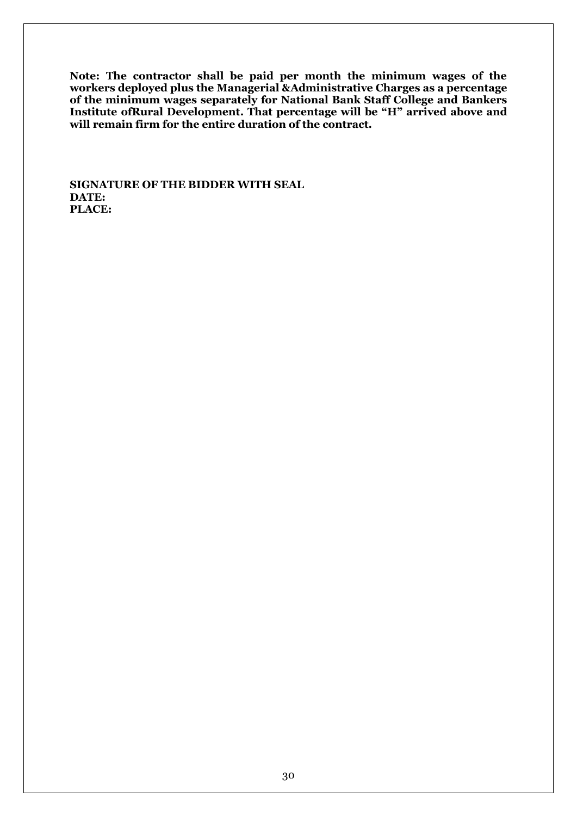**Note: The contractor shall be paid per month the minimum wages of the workers deployed plus the Managerial &Administrative Charges as a percentage of the minimum wages separately for National Bank Staff College and Bankers Institute ofRural Development. That percentage will be "H" arrived above and will remain firm for the entire duration of the contract.**

**SIGNATURE OF THE BIDDER WITH SEAL DATE: PLACE:**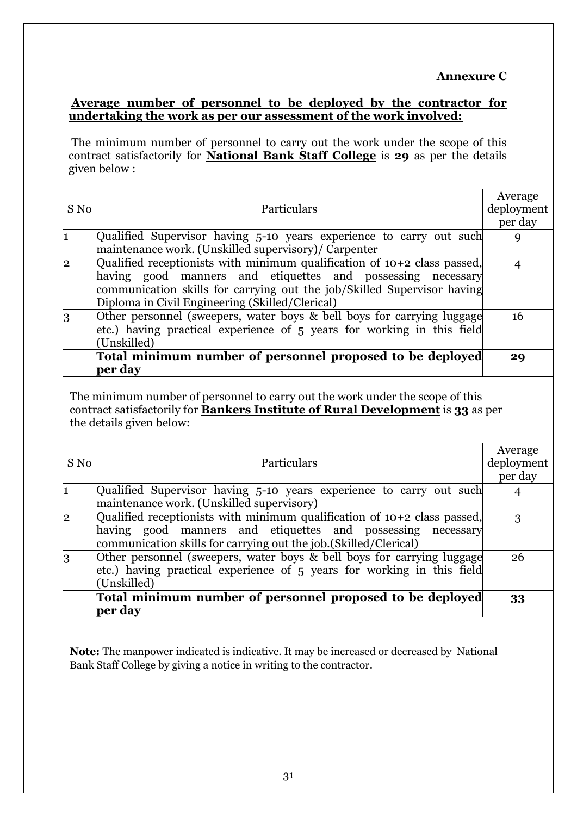## **Average number of personnel to be deployed by the contractor for undertaking the work as per our assessment of the work involved:**

The minimum number of personnel to carry out the work under the scope of this contract satisfactorily for **National Bank Staff College** is **29** as per the details given below :

| S No           | <b>Particulars</b>                                                         | Average<br>deployment |
|----------------|----------------------------------------------------------------------------|-----------------------|
|                |                                                                            | per day               |
|                | Qualified Supervisor having 5-10 years experience to carry out such        |                       |
|                | maintenance work. (Unskilled supervisory)/ Carpenter                       |                       |
| 2              | Qualified receptionists with minimum qualification of $10+2$ class passed, |                       |
|                | having good manners and etiquettes and possessing necessary                |                       |
|                | communication skills for carrying out the job/Skilled Supervisor having    |                       |
|                | Diploma in Civil Engineering (Skilled/Clerical)                            |                       |
| $\overline{3}$ | Other personnel (sweepers, water boys & bell boys for carrying luggage     | 16                    |
|                | etc.) having practical experience of 5 years for working in this field     |                       |
|                | (Unskilled)                                                                |                       |
|                | Total minimum number of personnel proposed to be deployed                  | 29                    |
|                | per day                                                                    |                       |

The minimum number of personnel to carry out the work under the scope of this contract satisfactorily for **Bankers Institute of Rural Development** is **33** as per the details given below:

|              |                                                                            | Average    |
|--------------|----------------------------------------------------------------------------|------------|
| S No         | <b>Particulars</b>                                                         | deployment |
|              |                                                                            | per day    |
| l1           | Qualified Supervisor having 5-10 years experience to carry out such        |            |
|              | maintenance work. (Unskilled supervisory)                                  |            |
| $\mathbf{2}$ | Qualified receptionists with minimum qualification of $10+2$ class passed, | 3          |
|              | having good manners and etiquettes and possessing necessary                |            |
|              | communication skills for carrying out the job. (Skilled/Clerical)          |            |
| 3            | Other personnel (sweepers, water boys & bell boys for carrying luggage     | 26         |
|              | etc.) having practical experience of 5 years for working in this field     |            |
|              | (Unskilled)                                                                |            |
|              | Total minimum number of personnel proposed to be deployed                  | 33         |
|              | per day                                                                    |            |

**Note:** The manpower indicated is indicative. It may be increased or decreased by National Bank Staff College by giving a notice in writing to the contractor.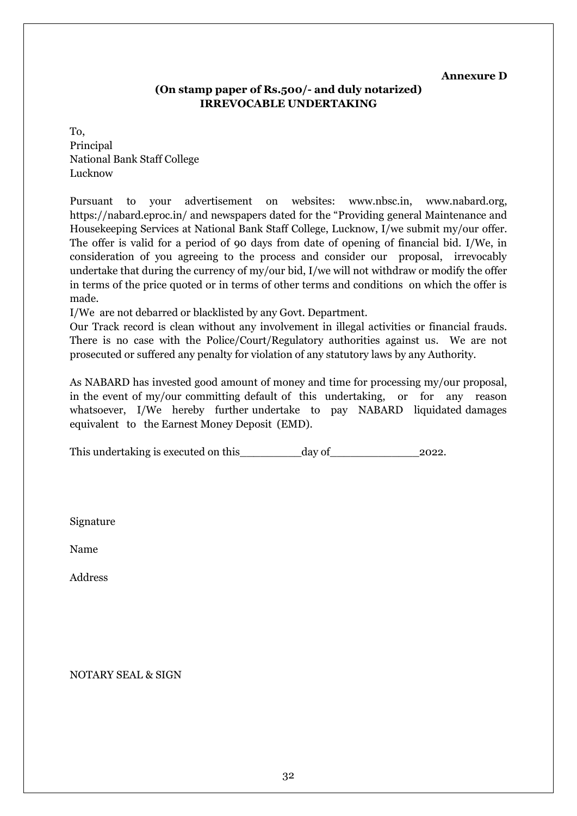#### **Annexure D**

## **(On stamp paper of Rs.500/- and duly notarized) IRREVOCABLE UNDERTAKING**

To, Principal National Bank Staff College Lucknow

Pursuant to your advertisement on websites: www.nbsc.in, www.nabard.org, https://nabard.eproc.in/ and newspapers dated for the "Providing general Maintenance and Housekeeping Services at National Bank Staff College, Lucknow, I/we submit my/our offer. The offer is valid for a period of 90 days from date of opening of financial bid. I/We, in consideration of you agreeing to the process and consider our proposal, irrevocably undertake that during the currency of my/our bid, I/we will not withdraw or modify the offer in terms of the price quoted or in terms of other terms and conditions on which the offer is made.

I/We are not debarred or blacklisted by any Govt. Department.

Our Track record is clean without any involvement in illegal activities or financial frauds. There is no case with the Police/Court/Regulatory authorities against us. We are not prosecuted or suffered any penalty for violation of any statutory laws by any Authority.

As NABARD has invested good amount of money and time for processing my/our proposal, in the event of my/our committing default of this undertaking, or for any reason whatsoever, I/We hereby further undertake to pay NABARD liquidated damages equivalent to the Earnest Money Deposit (EMD).

This undertaking is executed on this day of 2022.

Signature

Name

Address

NOTARY SEAL & SIGN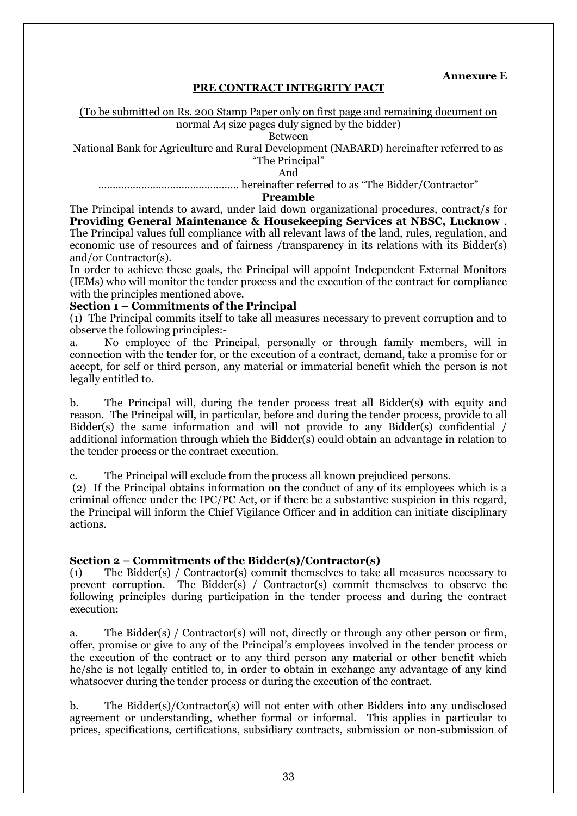**Annexure E**

## **PRE CONTRACT INTEGRITY PACT**

#### (To be submitted on Rs. 200 Stamp Paper only on first page and remaining document on normal A4 size pages duly signed by the bidder)

Between

National Bank for Agriculture and Rural Development (NABARD) hereinafter referred to as "The Principal"

And

…………………………………………. hereinafter referred to as "The Bidder/Contractor"

#### **Preamble**

The Principal intends to award, under laid down organizational procedures, contract/s for **Providing General Maintenance & Housekeeping Services at NBSC, Lucknow** . The Principal values full compliance with all relevant laws of the land, rules, regulation, and economic use of resources and of fairness /transparency in its relations with its Bidder(s) and/or Contractor(s).

In order to achieve these goals, the Principal will appoint Independent External Monitors (IEMs) who will monitor the tender process and the execution of the contract for compliance with the principles mentioned above.

#### **Section 1 – Commitments of the Principal**

(1) The Principal commits itself to take all measures necessary to prevent corruption and to observe the following principles:-

a. No employee of the Principal, personally or through family members, will in connection with the tender for, or the execution of a contract, demand, take a promise for or accept, for self or third person, any material or immaterial benefit which the person is not legally entitled to.

b. The Principal will, during the tender process treat all Bidder(s) with equity and reason. The Principal will, in particular, before and during the tender process, provide to all Bidder(s) the same information and will not provide to any Bidder(s) confidential / additional information through which the Bidder(s) could obtain an advantage in relation to the tender process or the contract execution.

c. The Principal will exclude from the process all known prejudiced persons.

(2) If the Principal obtains information on the conduct of any of its employees which is a criminal offence under the IPC/PC Act, or if there be a substantive suspicion in this regard, the Principal will inform the Chief Vigilance Officer and in addition can initiate disciplinary actions.

## **Section 2 – Commitments of the Bidder(s)/Contractor(s)**

(1) The Bidder(s) / Contractor(s) commit themselves to take all measures necessary to prevent corruption. The Bidder(s) / Contractor(s) commit themselves to observe the following principles during participation in the tender process and during the contract execution:

a. The Bidder(s) / Contractor(s) will not, directly or through any other person or firm, offer, promise or give to any of the Principal's employees involved in the tender process or the execution of the contract or to any third person any material or other benefit which he/she is not legally entitled to, in order to obtain in exchange any advantage of any kind whatsoever during the tender process or during the execution of the contract.

b. The Bidder(s)/Contractor(s) will not enter with other Bidders into any undisclosed agreement or understanding, whether formal or informal. This applies in particular to prices, specifications, certifications, subsidiary contracts, submission or non-submission of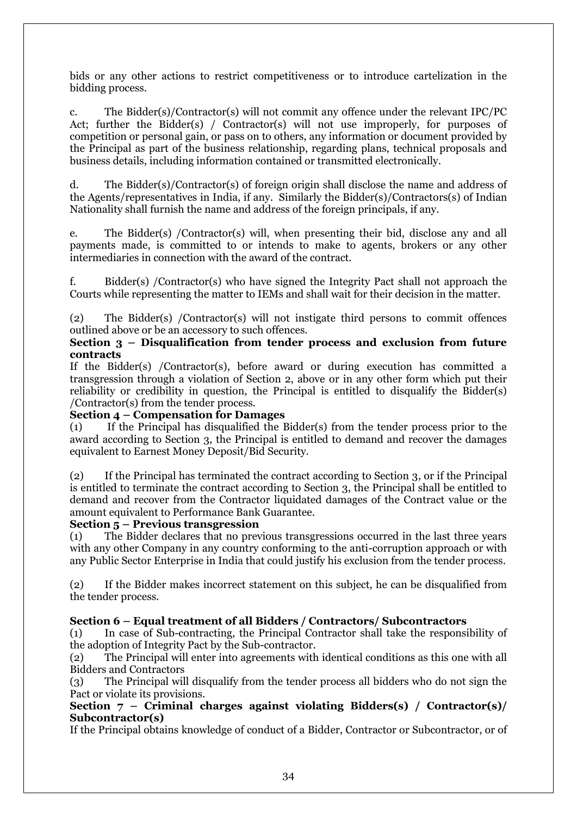bids or any other actions to restrict competitiveness or to introduce cartelization in the bidding process.

c. The Bidder(s)/Contractor(s) will not commit any offence under the relevant IPC/PC Act; further the Bidder(s) / Contractor(s) will not use improperly, for purposes of competition or personal gain, or pass on to others, any information or document provided by the Principal as part of the business relationship, regarding plans, technical proposals and business details, including information contained or transmitted electronically.

d. The Bidder(s)/Contractor(s) of foreign origin shall disclose the name and address of the Agents/representatives in India, if any. Similarly the Bidder(s)/Contractors(s) of Indian Nationality shall furnish the name and address of the foreign principals, if any.

e. The Bidder(s) /Contractor(s) will, when presenting their bid, disclose any and all payments made, is committed to or intends to make to agents, brokers or any other intermediaries in connection with the award of the contract.

f. Bidder(s) /Contractor(s) who have signed the Integrity Pact shall not approach the Courts while representing the matter to IEMs and shall wait for their decision in the matter.

(2) The Bidder(s) /Contractor(s) will not instigate third persons to commit offences outlined above or be an accessory to such offences.

### **Section 3 – Disqualification from tender process and exclusion from future contracts**

If the Bidder(s) /Contractor(s), before award or during execution has committed a transgression through a violation of Section 2, above or in any other form which put their reliability or credibility in question, the Principal is entitled to disqualify the Bidder(s) /Contractor(s) from the tender process.

## **Section 4 – Compensation for Damages**

(1) If the Principal has disqualified the Bidder(s) from the tender process prior to the award according to Section 3, the Principal is entitled to demand and recover the damages equivalent to Earnest Money Deposit/Bid Security.

(2) If the Principal has terminated the contract according to Section 3, or if the Principal is entitled to terminate the contract according to Section 3, the Principal shall be entitled to demand and recover from the Contractor liquidated damages of the Contract value or the amount equivalent to Performance Bank Guarantee.

## **Section 5 – Previous transgression**

(1) The Bidder declares that no previous transgressions occurred in the last three years with any other Company in any country conforming to the anti-corruption approach or with any Public Sector Enterprise in India that could justify his exclusion from the tender process.

(2) If the Bidder makes incorrect statement on this subject, he can be disqualified from the tender process.

## **Section 6 – Equal treatment of all Bidders / Contractors/ Subcontractors**

(1) In case of Sub-contracting, the Principal Contractor shall take the responsibility of the adoption of Integrity Pact by the Sub-contractor.

(2) The Principal will enter into agreements with identical conditions as this one with all Bidders and Contractors

(3) The Principal will disqualify from the tender process all bidders who do not sign the Pact or violate its provisions.

## **Section 7 – Criminal charges against violating Bidders(s) / Contractor(s)/ Subcontractor(s)**

If the Principal obtains knowledge of conduct of a Bidder, Contractor or Subcontractor, or of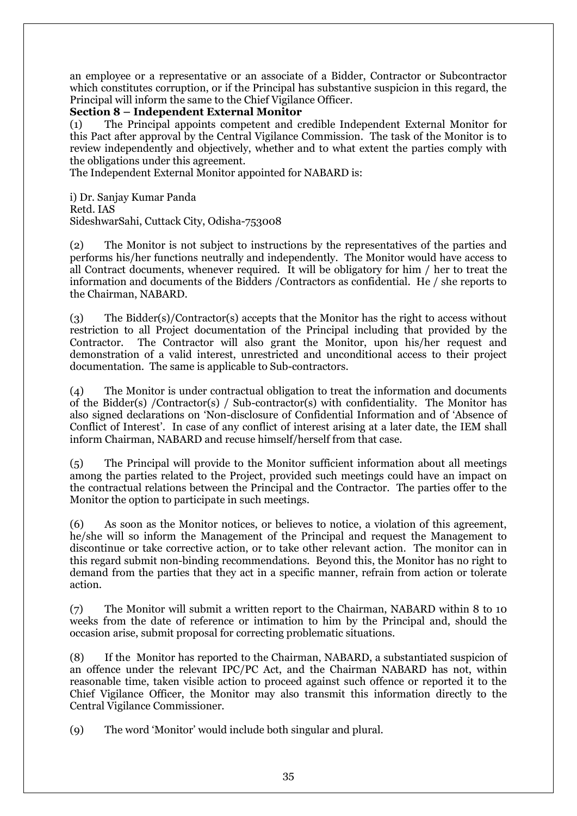an employee or a representative or an associate of a Bidder, Contractor or Subcontractor which constitutes corruption, or if the Principal has substantive suspicion in this regard, the Principal will inform the same to the Chief Vigilance Officer.

## **Section 8 – Independent External Monitor**

(1) The Principal appoints competent and credible Independent External Monitor for this Pact after approval by the Central Vigilance Commission. The task of the Monitor is to review independently and objectively, whether and to what extent the parties comply with the obligations under this agreement.

The Independent External Monitor appointed for NABARD is:

i) Dr. Sanjay Kumar Panda Retd. IAS SideshwarSahi, Cuttack City, Odisha-753008

(2) The Monitor is not subject to instructions by the representatives of the parties and performs his/her functions neutrally and independently. The Monitor would have access to all Contract documents, whenever required. It will be obligatory for him / her to treat the information and documents of the Bidders /Contractors as confidential. He / she reports to the Chairman, NABARD.

(3) The Bidder(s)/Contractor(s) accepts that the Monitor has the right to access without restriction to all Project documentation of the Principal including that provided by the Contractor. The Contractor will also grant the Monitor, upon his/her request and demonstration of a valid interest, unrestricted and unconditional access to their project documentation. The same is applicable to Sub-contractors.

(4) The Monitor is under contractual obligation to treat the information and documents of the Bidder(s) /Contractor(s) / Sub-contractor(s) with confidentiality. The Monitor has also signed declarations on 'Non-disclosure of Confidential Information and of 'Absence of Conflict of Interest'. In case of any conflict of interest arising at a later date, the IEM shall inform Chairman, NABARD and recuse himself/herself from that case.

(5) The Principal will provide to the Monitor sufficient information about all meetings among the parties related to the Project, provided such meetings could have an impact on the contractual relations between the Principal and the Contractor. The parties offer to the Monitor the option to participate in such meetings.

(6) As soon as the Monitor notices, or believes to notice, a violation of this agreement, he/she will so inform the Management of the Principal and request the Management to discontinue or take corrective action, or to take other relevant action. The monitor can in this regard submit non-binding recommendations. Beyond this, the Monitor has no right to demand from the parties that they act in a specific manner, refrain from action or tolerate action.

(7) The Monitor will submit a written report to the Chairman, NABARD within 8 to 10 weeks from the date of reference or intimation to him by the Principal and, should the occasion arise, submit proposal for correcting problematic situations.

(8) If the Monitor has reported to the Chairman, NABARD, a substantiated suspicion of an offence under the relevant IPC/PC Act, and the Chairman NABARD has not, within reasonable time, taken visible action to proceed against such offence or reported it to the Chief Vigilance Officer, the Monitor may also transmit this information directly to the Central Vigilance Commissioner.

(9) The word 'Monitor' would include both singular and plural.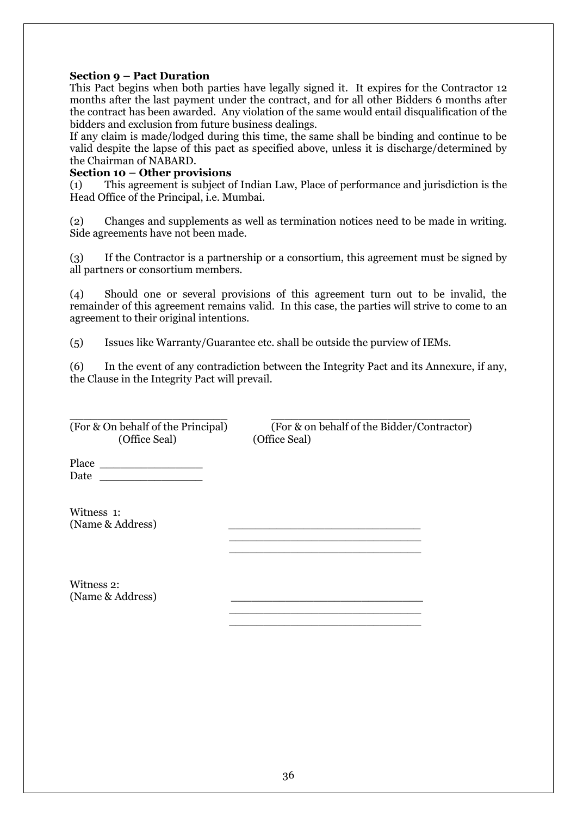## **Section 9 – Pact Duration**

This Pact begins when both parties have legally signed it. It expires for the Contractor 12 months after the last payment under the contract, and for all other Bidders 6 months after the contract has been awarded. Any violation of the same would entail disqualification of the bidders and exclusion from future business dealings.

If any claim is made/lodged during this time, the same shall be binding and continue to be valid despite the lapse of this pact as specified above, unless it is discharge/determined by the Chairman of NABARD.

#### **Section 10 – Other provisions**

(1) This agreement is subject of Indian Law, Place of performance and jurisdiction is the Head Office of the Principal, i.e. Mumbai.

(2) Changes and supplements as well as termination notices need to be made in writing. Side agreements have not been made.

(3) If the Contractor is a partnership or a consortium, this agreement must be signed by all partners or consortium members.

(4) Should one or several provisions of this agreement turn out to be invalid, the remainder of this agreement remains valid. In this case, the parties will strive to come to an agreement to their original intentions.

(5) Issues like Warranty/Guarantee etc. shall be outside the purview of IEMs.

 $\mathcal{L}_\text{max}$  , and the contract of the contract of the contract of the contract of the contract of the contract of  $\frac{1}{2}$  , and the set of the set of the set of the set of the set of the set of the set of the set of the set of the set of the set of the set of the set of the set of the set of the set of the set of the set of the set

 $\frac{1}{\sqrt{2}}$  ,  $\frac{1}{\sqrt{2}}$  ,  $\frac{1}{\sqrt{2}}$  ,  $\frac{1}{\sqrt{2}}$  ,  $\frac{1}{\sqrt{2}}$  ,  $\frac{1}{\sqrt{2}}$  ,  $\frac{1}{\sqrt{2}}$  ,  $\frac{1}{\sqrt{2}}$  ,  $\frac{1}{\sqrt{2}}$  ,  $\frac{1}{\sqrt{2}}$  ,  $\frac{1}{\sqrt{2}}$  ,  $\frac{1}{\sqrt{2}}$  ,  $\frac{1}{\sqrt{2}}$  ,  $\frac{1}{\sqrt{2}}$  ,  $\frac{1}{\sqrt{2}}$  $\frac{1}{2}$  , and the set of the set of the set of the set of the set of the set of the set of the set of the set of the set of the set of the set of the set of the set of the set of the set of the set of the set of the set

(6) In the event of any contradiction between the Integrity Pact and its Annexure, if any, the Clause in the Integrity Pact will prevail.

(Office Seal) (Office Seal)

\_\_\_\_\_\_\_\_\_\_\_\_\_\_\_\_\_\_\_\_\_\_\_ \_\_\_\_\_\_\_\_\_\_\_\_\_\_\_\_\_\_\_\_\_\_\_\_\_\_\_\_\_ (For & On behalf of the Principal) (For & on behalf of the Bidder/Contractor)

Place \_\_\_\_\_\_\_\_\_\_\_\_\_\_\_ Date  $\Box$ 

Witness 1: (Name & Address)

Witness 2: (Name & Address)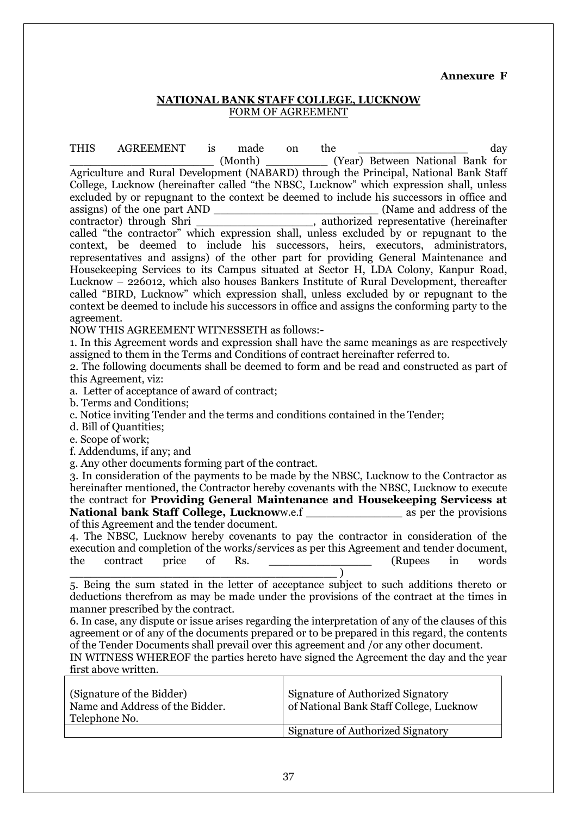#### **Annexure F**

#### **NATIONAL BANK STAFF COLLEGE, LUCKNOW** FORM OF AGREEMENT

THIS AGREEMENT is made on the the day (Month) (Year) Between National Bank for Agriculture and Rural Development (NABARD) through the Principal, National Bank Staff College, Lucknow (hereinafter called "the NBSC, Lucknow" which expression shall, unless excluded by or repugnant to the context be deemed to include his successors in office and assigns) of the one part AND \_\_\_\_\_\_\_\_\_\_\_\_\_\_\_\_\_\_\_\_\_\_\_\_ (Name and address of the contractor) through Shri \_\_\_\_\_\_\_\_\_\_\_\_\_\_\_\_\_, authorized representative (hereinafter called "the contractor" which expression shall, unless excluded by or repugnant to the context, be deemed to include his successors, heirs, executors, administrators, representatives and assigns) of the other part for providing General Maintenance and Housekeeping Services to its Campus situated at Sector H, LDA Colony, Kanpur Road, Lucknow – 226012, which also houses Bankers Institute of Rural Development, thereafter called "BIRD, Lucknow" which expression shall, unless excluded by or repugnant to the context be deemed to include his successors in office and assigns the conforming party to the agreement.

NOW THIS AGREEMENT WITNESSETH as follows:-

1. In this Agreement words and expression shall have the same meanings as are respectively assigned to them in the Terms and Conditions of contract hereinafter referred to.

2. The following documents shall be deemed to form and be read and constructed as part of this Agreement, viz:

a. Letter of acceptance of award of contract;

b. Terms and Conditions;

c. Notice inviting Tender and the terms and conditions contained in the Tender;

d. Bill of Quantities;

e. Scope of work;

f. Addendums, if any; and

g. Any other documents forming part of the contract.

3. In consideration of the payments to be made by the NBSC, Lucknow to the Contractor as hereinafter mentioned, the Contractor hereby covenants with the NBSC, Lucknow to execute the contract for **Providing General Maintenance and Housekeeping Servicess at National bank Staff College, Lucknoww.e.f \_\_\_\_\_\_\_\_\_\_\_\_\_\_\_ as per the provisions** of this Agreement and the tender document.

4. The NBSC, Lucknow hereby covenants to pay the contractor in consideration of the execution and completion of the works/services as per this Agreement and tender document, the contract price of Rs. \_\_\_\_\_\_\_\_\_\_\_\_\_\_\_ (Rupees in words \_\_\_\_\_\_\_\_\_\_\_\_\_\_\_\_\_\_\_\_\_\_\_\_\_\_\_\_\_\_\_\_\_\_\_\_\_\_\_ )

5. Being the sum stated in the letter of acceptance subject to such additions thereto or deductions therefrom as may be made under the provisions of the contract at the times in manner prescribed by the contract.

6. In case, any dispute or issue arises regarding the interpretation of any of the clauses of this agreement or of any of the documents prepared or to be prepared in this regard, the contents of the Tender Documents shall prevail over this agreement and /or any other document.

IN WITNESS WHEREOF the parties hereto have signed the Agreement the day and the year first above written.

| (Signature of the Bidder)<br>Name and Address of the Bidder.<br>Telephone No. | Signature of Authorized Signatory<br>of National Bank Staff College, Lucknow |
|-------------------------------------------------------------------------------|------------------------------------------------------------------------------|
|                                                                               | Signature of Authorized Signatory                                            |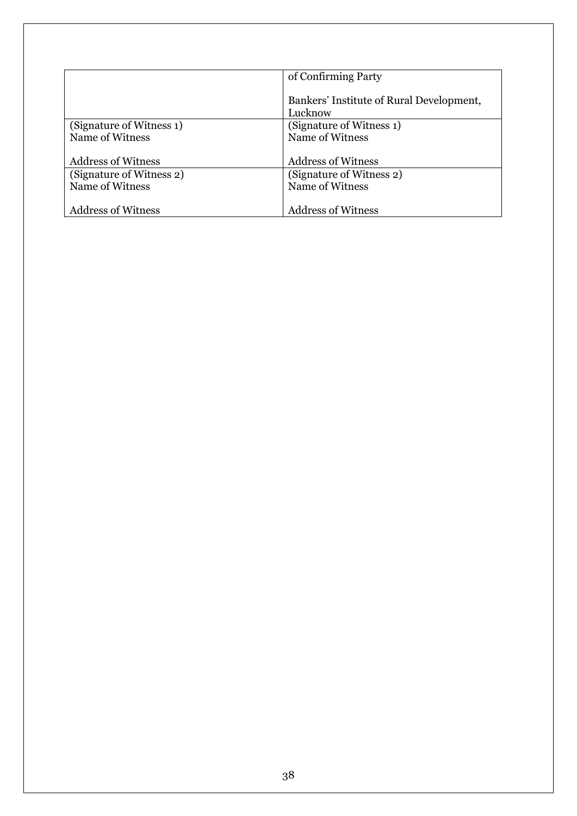|                           | of Confirming Party                                 |
|---------------------------|-----------------------------------------------------|
|                           | Bankers' Institute of Rural Development,<br>Lucknow |
| (Signature of Witness 1)  | (Signature of Witness 1)                            |
| Name of Witness           | Name of Witness                                     |
|                           |                                                     |
| <b>Address of Witness</b> | <b>Address of Witness</b>                           |
| (Signature of Witness 2)  | (Signature of Witness 2)                            |
| Name of Witness           | Name of Witness                                     |
|                           |                                                     |
| <b>Address of Witness</b> | <b>Address of Witness</b>                           |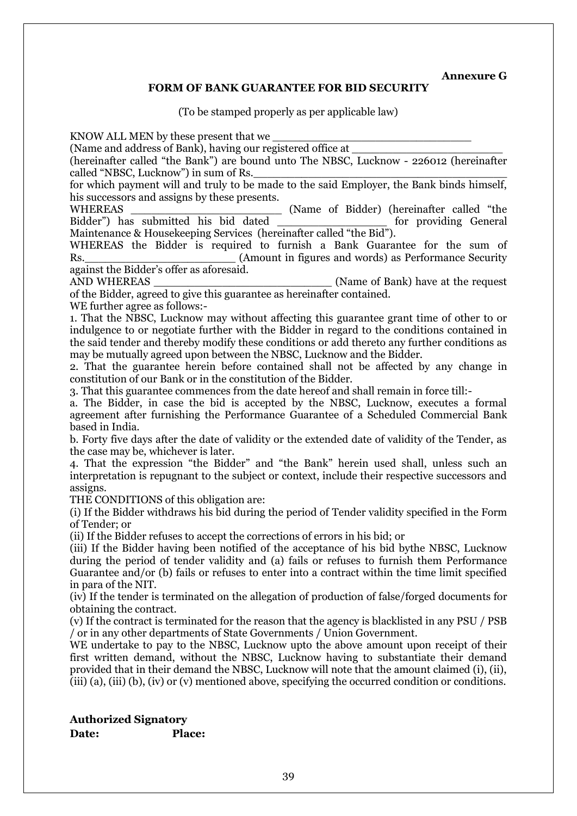**Annexure G**

## **FORM OF BANK GUARANTEE FOR BID SECURITY**

(To be stamped properly as per applicable law)

KNOW ALL MEN by these present that we

(Name and address of Bank), having our registered office at

(hereinafter called "the Bank") are bound unto The NBSC, Lucknow - 226012 (hereinafter called "NBSC, Lucknow") in sum of Rs.

for which payment will and truly to be made to the said Employer, the Bank binds himself, his successors and assigns by these presents.

WHEREAS **EXECUTE:** (Name of Bidder) (hereinafter called "the Bidder") has submitted his bid dated for providing General Maintenance & Housekeeping Services (hereinafter called "the Bid").

WHEREAS the Bidder is required to furnish a Bank Guarantee for the sum of Rs. **Research COVIDENT** (Amount in figures and words) as Performance Security against the Bidder's offer as aforesaid.

AND WHEREAS (Name of Bank) have at the request of the Bidder, agreed to give this guarantee as hereinafter contained.

WE further agree as follows:-

1. That the NBSC, Lucknow may without affecting this guarantee grant time of other to or indulgence to or negotiate further with the Bidder in regard to the conditions contained in the said tender and thereby modify these conditions or add thereto any further conditions as may be mutually agreed upon between the NBSC, Lucknow and the Bidder.

2. That the guarantee herein before contained shall not be affected by any change in constitution of our Bank or in the constitution of the Bidder.

3. That this guarantee commences from the date hereof and shall remain in force till:-

a. The Bidder, in case the bid is accepted by the NBSC, Lucknow, executes a formal agreement after furnishing the Performance Guarantee of a Scheduled Commercial Bank based in India.

b. Forty five days after the date of validity or the extended date of validity of the Tender, as the case may be, whichever is later.

4. That the expression "the Bidder" and "the Bank" herein used shall, unless such an interpretation is repugnant to the subject or context, include their respective successors and assigns.

THE CONDITIONS of this obligation are:

(i) If the Bidder withdraws his bid during the period of Tender validity specified in the Form of Tender; or

(ii) If the Bidder refuses to accept the corrections of errors in his bid; or

(iii) If the Bidder having been notified of the acceptance of his bid bythe NBSC, Lucknow during the period of tender validity and (a) fails or refuses to furnish them Performance Guarantee and/or (b) fails or refuses to enter into a contract within the time limit specified in para of the NIT.

(iv) If the tender is terminated on the allegation of production of false/forged documents for obtaining the contract.

(v) If the contract is terminated for the reason that the agency is blacklisted in any PSU / PSB / or in any other departments of State Governments / Union Government.

WE undertake to pay to the NBSC, Lucknow upto the above amount upon receipt of their first written demand, without the NBSC, Lucknow having to substantiate their demand provided that in their demand the NBSC, Lucknow will note that the amount claimed (i), (ii), (iii) (a), (iii) (b), (iv) or (v) mentioned above, specifying the occurred condition or conditions.

**Authorized Signatory Date: Place:**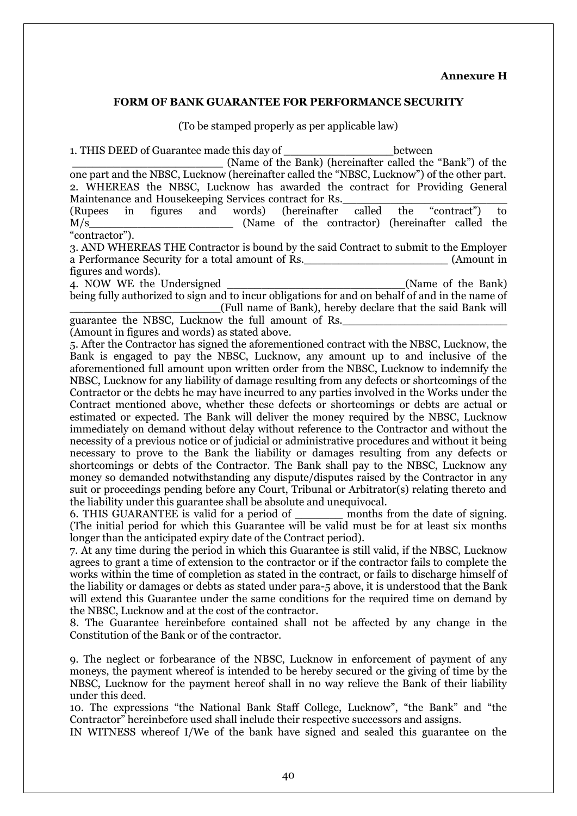#### **Annexure H**

#### **FORM OF BANK GUARANTEE FOR PERFORMANCE SECURITY**

(To be stamped properly as per applicable law)

1. THIS DEED of Guarantee made this day of the set of the between \_\_\_\_\_\_\_\_\_\_\_\_\_\_\_\_\_\_\_\_\_\_ (Name of the Bank) (hereinafter called the "Bank") of the one part and the NBSC, Lucknow (hereinafter called the "NBSC, Lucknow") of the other part. 2. WHEREAS the NBSC, Lucknow has awarded the contract for Providing General Maintenance and Housekeeping Services contract for Rs. (Rupees in figures and words) (hereinafter called the "contract") to M/s\_\_\_\_\_\_\_\_\_\_\_\_\_\_\_\_\_\_\_\_\_ (Name of the contractor) (hereinafter called the "contractor"). 3. AND WHEREAS THE Contractor is bound by the said Contract to submit to the Employer a Performance Security for a total amount of Rs. (Amount in figures and words). 4. NOW WE the Undersigned The Contract Contract (Name of the Bank) being fully authorized to sign and to incur obligations for and on behalf of and in the name of \_\_\_\_\_\_\_\_\_\_\_\_\_\_\_\_\_\_\_\_\_\_(Full name of Bank), hereby declare that the said Bank will guarantee the NBSC, Lucknow the full amount of Rs. (Amount in figures and words) as stated above. 5. After the Contractor has signed the aforementioned contract with the NBSC, Lucknow, the Bank is engaged to pay the NBSC, Lucknow, any amount up to and inclusive of the aforementioned full amount upon written order from the NBSC, Lucknow to indemnify the NBSC, Lucknow for any liability of damage resulting from any defects or shortcomings of the Contractor or the debts he may have incurred to any parties involved in the Works under the Contract mentioned above, whether these defects or shortcomings or debts are actual or estimated or expected. The Bank will deliver the money required by the NBSC, Lucknow immediately on demand without delay without reference to the Contractor and without the necessity of a previous notice or of judicial or administrative procedures and without it being necessary to prove to the Bank the liability or damages resulting from any defects or shortcomings or debts of the Contractor. The Bank shall pay to the NBSC, Lucknow any money so demanded notwithstanding any dispute/disputes raised by the Contractor in any suit or proceedings pending before any Court, Tribunal or Arbitrator(s) relating thereto and the liability under this guarantee shall be absolute and unequivocal. 6. THIS GUARANTEE is valid for a period of \_\_\_\_\_\_\_ months from the date of signing. (The initial period for which this Guarantee will be valid must be for at least six months longer than the anticipated expiry date of the Contract period). 7. At any time during the period in which this Guarantee is still valid, if the NBSC, Lucknow agrees to grant a time of extension to the contractor or if the contractor fails to complete the works within the time of completion as stated in the contract, or fails to discharge himself of the liability or damages or debts as stated under para-5 above, it is understood that the Bank will extend this Guarantee under the same conditions for the required time on demand by the NBSC, Lucknow and at the cost of the contractor. 8. The Guarantee hereinbefore contained shall not be affected by any change in the Constitution of the Bank or of the contractor. 9. The neglect or forbearance of the NBSC, Lucknow in enforcement of payment of any moneys, the payment whereof is intended to be hereby secured or the giving of time by the NBSC, Lucknow for the payment hereof shall in no way relieve the Bank of their liability

under this deed.

10. The expressions "the National Bank Staff College, Lucknow", "the Bank" and "the Contractor" hereinbefore used shall include their respective successors and assigns.

IN WITNESS whereof I/We of the bank have signed and sealed this guarantee on the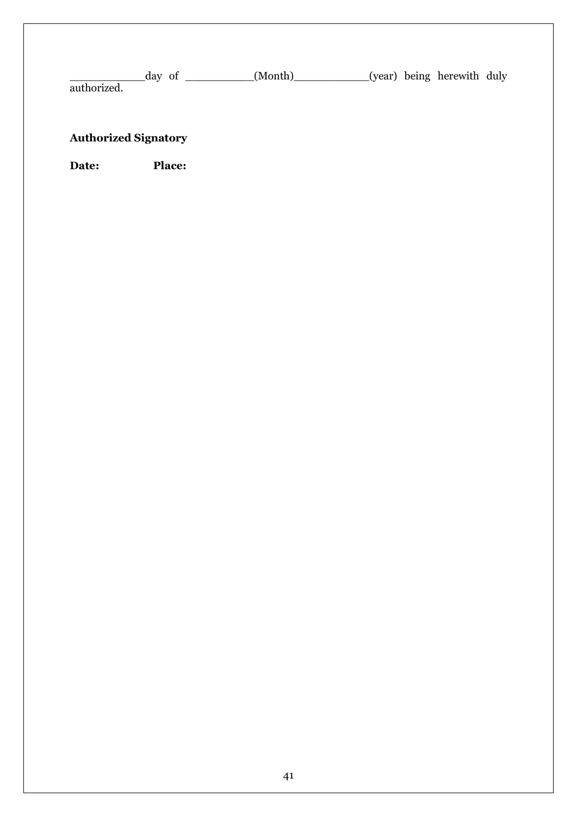day of \_\_\_\_\_\_\_\_\_\_(Month)\_\_\_\_\_\_\_\_\_(year) being herewith duly authorized.

## **Authorized Signatory**

**Date: Place:**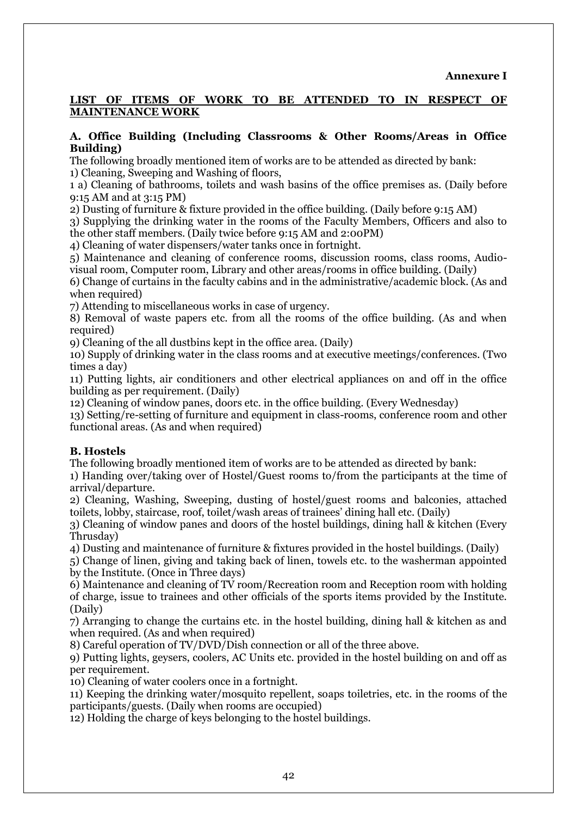## **LIST OF ITEMS OF WORK TO BE ATTENDED TO IN RESPECT OF MAINTENANCE WORK**

#### **A. Office Building (Including Classrooms & Other Rooms/Areas in Office Building)**

The following broadly mentioned item of works are to be attended as directed by bank: 1) Cleaning, Sweeping and Washing of floors,

1 a) Cleaning of bathrooms, toilets and wash basins of the office premises as. (Daily before 9:15 AM and at 3:15 PM)

2) Dusting of furniture & fixture provided in the office building. (Daily before 9:15 AM)

3) Supplying the drinking water in the rooms of the Faculty Members, Officers and also to the other staff members. (Daily twice before 9:15 AM and 2:00PM)

4) Cleaning of water dispensers/water tanks once in fortnight.

5) Maintenance and cleaning of conference rooms, discussion rooms, class rooms, Audiovisual room, Computer room, Library and other areas/rooms in office building. (Daily)

6) Change of curtains in the faculty cabins and in the administrative/academic block. (As and when required)

7) Attending to miscellaneous works in case of urgency.

8) Removal of waste papers etc. from all the rooms of the office building. (As and when required)

9) Cleaning of the all dustbins kept in the office area. (Daily)

10) Supply of drinking water in the class rooms and at executive meetings/conferences. (Two times a day)

11) Putting lights, air conditioners and other electrical appliances on and off in the office building as per requirement. (Daily)

12) Cleaning of window panes, doors etc. in the office building. (Every Wednesday)

13) Setting/re-setting of furniture and equipment in class-rooms, conference room and other functional areas. (As and when required)

## **B. Hostels**

The following broadly mentioned item of works are to be attended as directed by bank:

1) Handing over/taking over of Hostel/Guest rooms to/from the participants at the time of arrival/departure.

2) Cleaning, Washing, Sweeping, dusting of hostel/guest rooms and balconies, attached toilets, lobby, staircase, roof, toilet/wash areas of trainees' dining hall etc. (Daily)

3) Cleaning of window panes and doors of the hostel buildings, dining hall & kitchen (Every Thrusday)

4) Dusting and maintenance of furniture & fixtures provided in the hostel buildings. (Daily)

5) Change of linen, giving and taking back of linen, towels etc. to the washerman appointed by the Institute. (Once in Three days)

6) Maintenance and cleaning of TV room/Recreation room and Reception room with holding of charge, issue to trainees and other officials of the sports items provided by the Institute. (Daily)

7) Arranging to change the curtains etc. in the hostel building, dining hall & kitchen as and when required. (As and when required)

8) Careful operation of TV/DVD/Dish connection or all of the three above.

9) Putting lights, geysers, coolers, AC Units etc. provided in the hostel building on and off as per requirement.

10) Cleaning of water coolers once in a fortnight.

11) Keeping the drinking water/mosquito repellent, soaps toiletries, etc. in the rooms of the participants/guests. (Daily when rooms are occupied)

12) Holding the charge of keys belonging to the hostel buildings.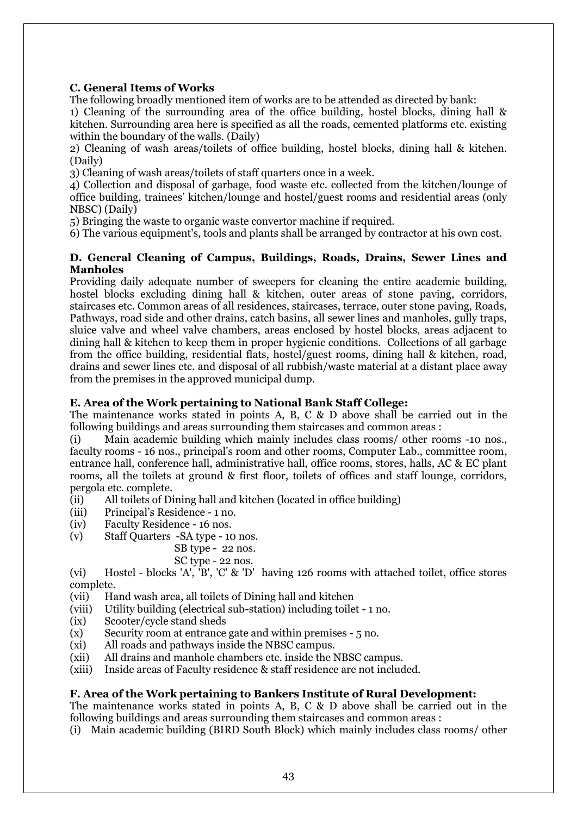## **C. General Items of Works**

The following broadly mentioned item of works are to be attended as directed by bank:

1) Cleaning of the surrounding area of the office building, hostel blocks, dining hall & kitchen. Surrounding area here is specified as all the roads, cemented platforms etc. existing within the boundary of the walls. (Daily)

2) Cleaning of wash areas/toilets of office building, hostel blocks, dining hall & kitchen. (Daily)

3) Cleaning of wash areas/toilets of staff quarters once in a week.

4) Collection and disposal of garbage, food waste etc. collected from the kitchen/lounge of office building, trainees' kitchen/lounge and hostel/guest rooms and residential areas (only NBSC) (Daily)

5) Bringing the waste to organic waste convertor machine if required.

6) The various equipment's, tools and plants shall be arranged by contractor at his own cost.

### **D. General Cleaning of Campus, Buildings, Roads, Drains, Sewer Lines and Manholes**

Providing daily adequate number of sweepers for cleaning the entire academic building, hostel blocks excluding dining hall & kitchen, outer areas of stone paving, corridors, staircases etc. Common areas of all residences, staircases, terrace, outer stone paving, Roads, Pathways, road side and other drains, catch basins, all sewer lines and manholes, gully traps, sluice valve and wheel valve chambers, areas enclosed by hostel blocks, areas adjacent to dining hall & kitchen to keep them in proper hygienic conditions. Collections of all garbage from the office building, residential flats, hostel/guest rooms, dining hall & kitchen, road, drains and sewer lines etc. and disposal of all rubbish/waste material at a distant place away from the premises in the approved municipal dump.

## **E. Area of the Work pertaining to National Bank Staff College:**

The maintenance works stated in points A, B, C & D above shall be carried out in the following buildings and areas surrounding them staircases and common areas :

(i) Main academic building which mainly includes class rooms/ other rooms -10 nos., faculty rooms - 16 nos., principal's room and other rooms, Computer Lab., committee room, entrance hall, conference hall, administrative hall, office rooms, stores, halls, AC & EC plant rooms, all the toilets at ground & first floor, toilets of offices and staff lounge, corridors, pergola etc. complete.

- (ii) All toilets of Dining hall and kitchen (located in office building)
- (iii) Principal's Residence 1 no.
- (iv) Faculty Residence 16 nos.
- (v) Staff Quarters -SA type 10 nos.

#### SB type - 22 nos.

SC type - 22 nos.

(vi) Hostel - blocks 'A', 'B', 'C' & 'D' having 126 rooms with attached toilet, office stores complete.

- (vii) Hand wash area, all toilets of Dining hall and kitchen
- (viii) Utility building (electrical sub-station) including toilet 1 no.
- (ix) Scooter/cycle stand sheds
- $(x)$  Security room at entrance gate and within premises  $-5$  no.
- (xi) All roads and pathways inside the NBSC campus.
- (xii) All drains and manhole chambers etc. inside the NBSC campus.
- (xiii) Inside areas of Faculty residence & staff residence are not included.

## **F. Area of the Work pertaining to Bankers Institute of Rural Development:**

The maintenance works stated in points A, B, C & D above shall be carried out in the following buildings and areas surrounding them staircases and common areas :

(i) Main academic building (BIRD South Block) which mainly includes class rooms/ other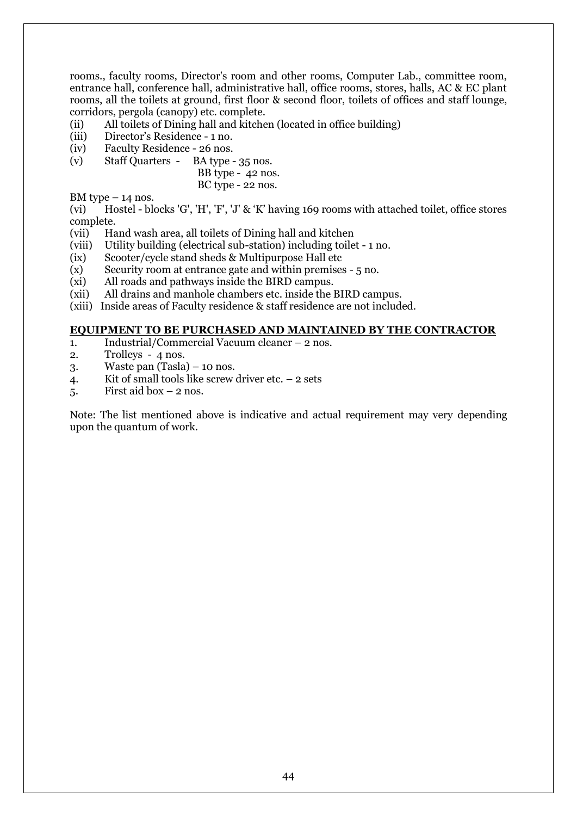rooms., faculty rooms, Director's room and other rooms, Computer Lab., committee room, entrance hall, conference hall, administrative hall, office rooms, stores, halls, AC & EC plant rooms, all the toilets at ground, first floor & second floor, toilets of offices and staff lounge, corridors, pergola (canopy) etc. complete.

- (ii) All toilets of Dining hall and kitchen (located in office building)
- (iii) Director's Residence 1 no.
- (iv) Faculty Residence 26 nos.
- (v) Staff Quarters BA type 35 nos.

 BB type - 42 nos. BC type - 22 nos.

BM type  $-14$  nos.

(vi) Hostel - blocks 'G', 'H', 'F', 'J' & 'K' having 169 rooms with attached toilet, office stores complete.

- (vii) Hand wash area, all toilets of Dining hall and kitchen
- (viii) Utility building (electrical sub-station) including toilet 1 no.
- (ix) Scooter/cycle stand sheds & Multipurpose Hall etc
- (x) Security room at entrance gate and within premises 5 no.
- (xi) All roads and pathways inside the BIRD campus.
- (xii) All drains and manhole chambers etc. inside the BIRD campus.
- (xiii) Inside areas of Faculty residence & staff residence are not included.

#### **EQUIPMENT TO BE PURCHASED AND MAINTAINED BY THE CONTRACTOR**

- 1. Industrial/Commercial Vacuum cleaner 2 nos.
- 2. Trolleys 4 nos.
- 3. Waste pan (Tasla) 10 nos.
- 4. Kit of small tools like screw driver etc.  $-2$  sets
- $5.$  First aid box  $-2$  nos.

Note: The list mentioned above is indicative and actual requirement may very depending upon the quantum of work.